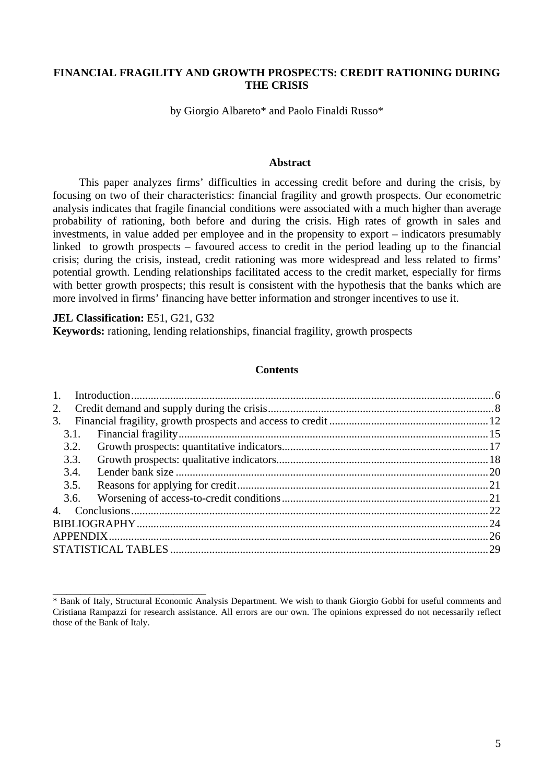# **FINANCIAL FRAGILITY AND GROWTH PROSPECTS: CREDIT RATIONING DURING THE CRISIS**

by Giorgio Albareto\* and Paolo Finaldi Russo\*

#### **Abstract**

This paper analyzes firms' difficulties in accessing credit before and during the crisis, by focusing on two of their characteristics: financial fragility and growth prospects. Our econometric analysis indicates that fragile financial conditions were associated with a much higher than average probability of rationing, both before and during the crisis. High rates of growth in sales and investments, in value added per employee and in the propensity to export – indicators presumably linked to growth prospects – favoured access to credit in the period leading up to the financial crisis; during the crisis, instead, credit rationing was more widespread and less related to firms' potential growth. Lending relationships facilitated access to the credit market, especially for firms with better growth prospects; this result is consistent with the hypothesis that the banks which are more involved in firms' financing have better information and stronger incentives to use it.

**JEL Classification:** E51, G21, G32

\_\_\_\_\_\_\_\_\_\_\_\_\_\_\_\_\_\_\_\_\_\_\_\_\_\_\_\_\_\_\_\_\_

**Keywords:** rationing, lending relationships, financial fragility, growth prospects

### **Contents**

| 1.   |  |
|------|--|
| 2.   |  |
| 3.   |  |
| 3.1. |  |
| 3.2. |  |
| 3.3. |  |
| 3.4. |  |
| 3.5. |  |
| 3.6. |  |
|      |  |
|      |  |
|      |  |
|      |  |
|      |  |

<sup>\*</sup> Bank of Italy, Structural Economic Analysis Department. We wish to thank Giorgio Gobbi for useful comments and Cristiana Rampazzi for research assistance. All errors are our own. The opinions expressed do not necessarily reflect those of the Bank of Italy.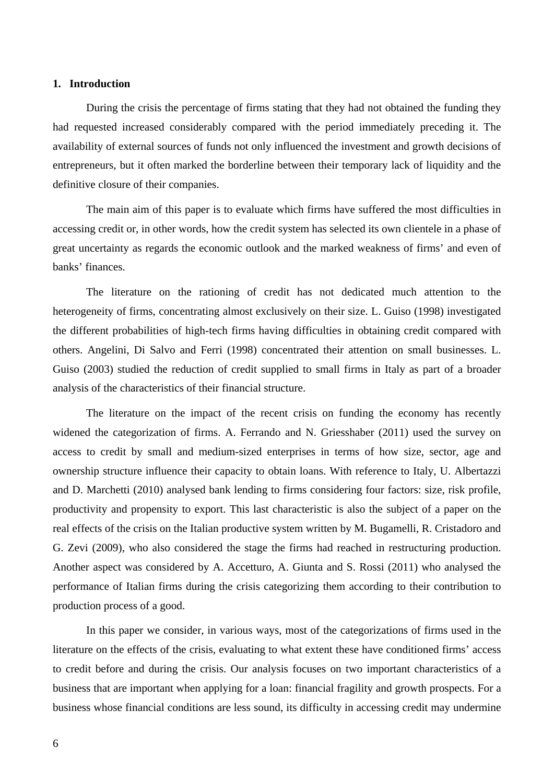### <span id="page-1-0"></span>**1. Introduction**

During the crisis the percentage of firms stating that they had not obtained the funding they had requested increased considerably compared with the period immediately preceding it. The availability of external sources of funds not only influenced the investment and growth decisions of entrepreneurs, but it often marked the borderline between their temporary lack of liquidity and the definitive closure of their companies.

The main aim of this paper is to evaluate which firms have suffered the most difficulties in accessing credit or, in other words, how the credit system has selected its own clientele in a phase of great uncertainty as regards the economic outlook and the marked weakness of firms' and even of banks' finances.

The literature on the rationing of credit has not dedicated much attention to the heterogeneity of firms, concentrating almost exclusively on their size. L. Guiso (1998) investigated the different probabilities of high-tech firms having difficulties in obtaining credit compared with others. Angelini, Di Salvo and Ferri (1998) concentrated their attention on small businesses. L. Guiso (2003) studied the reduction of credit supplied to small firms in Italy as part of a broader analysis of the characteristics of their financial structure.

The literature on the impact of the recent crisis on funding the economy has recently widened the categorization of firms. A. Ferrando and N. Griesshaber (2011) used the survey on access to credit by small and medium-sized enterprises in terms of how size, sector, age and ownership structure influence their capacity to obtain loans. With reference to Italy, U. Albertazzi and D. Marchetti (2010) analysed bank lending to firms considering four factors: size, risk profile, productivity and propensity to export. This last characteristic is also the subject of a paper on the real effects of the crisis on the Italian productive system written by M. Bugamelli, R. Cristadoro and G. Zevi (2009), who also considered the stage the firms had reached in restructuring production. Another aspect was considered by A. Accetturo, A. Giunta and S. Rossi (2011) who analysed the performance of Italian firms during the crisis categorizing them according to their contribution to production process of a good.

In this paper we consider, in various ways, most of the categorizations of firms used in the literature on the effects of the crisis, evaluating to what extent these have conditioned firms' access to credit before and during the crisis. Our analysis focuses on two important characteristics of a business that are important when applying for a loan: financial fragility and growth prospects. For a business whose financial conditions are less sound, its difficulty in accessing credit may undermine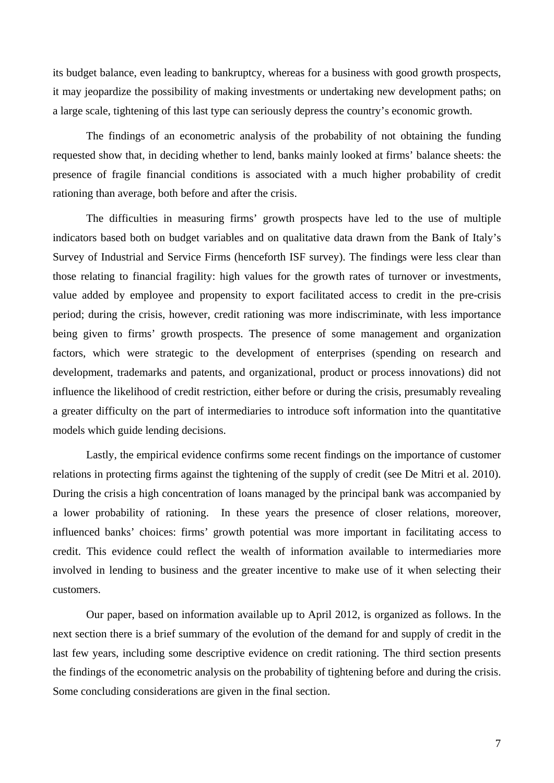its budget balance, even leading to bankruptcy, whereas for a business with good growth prospects, it may jeopardize the possibility of making investments or undertaking new development paths; on a large scale, tightening of this last type can seriously depress the country's economic growth.

The findings of an econometric analysis of the probability of not obtaining the funding requested show that, in deciding whether to lend, banks mainly looked at firms' balance sheets: the presence of fragile financial conditions is associated with a much higher probability of credit rationing than average, both before and after the crisis.

The difficulties in measuring firms' growth prospects have led to the use of multiple indicators based both on budget variables and on qualitative data drawn from the Bank of Italy's Survey of Industrial and Service Firms (henceforth ISF survey). The findings were less clear than those relating to financial fragility: high values for the growth rates of turnover or investments, value added by employee and propensity to export facilitated access to credit in the pre-crisis period; during the crisis, however, credit rationing was more indiscriminate, with less importance being given to firms' growth prospects. The presence of some management and organization factors, which were strategic to the development of enterprises (spending on research and development, trademarks and patents, and organizational, product or process innovations) did not influence the likelihood of credit restriction, either before or during the crisis, presumably revealing a greater difficulty on the part of intermediaries to introduce soft information into the quantitative models which guide lending decisions.

Lastly, the empirical evidence confirms some recent findings on the importance of customer relations in protecting firms against the tightening of the supply of credit (see De Mitri et al. 2010). During the crisis a high concentration of loans managed by the principal bank was accompanied by a lower probability of rationing. In these years the presence of closer relations, moreover, influenced banks' choices: firms' growth potential was more important in facilitating access to credit. This evidence could reflect the wealth of information available to intermediaries more involved in lending to business and the greater incentive to make use of it when selecting their customers.

Our paper, based on information available up to April 2012, is organized as follows. In the next section there is a brief summary of the evolution of the demand for and supply of credit in the last few years, including some descriptive evidence on credit rationing. The third section presents the findings of the econometric analysis on the probability of tightening before and during the crisis. Some concluding considerations are given in the final section.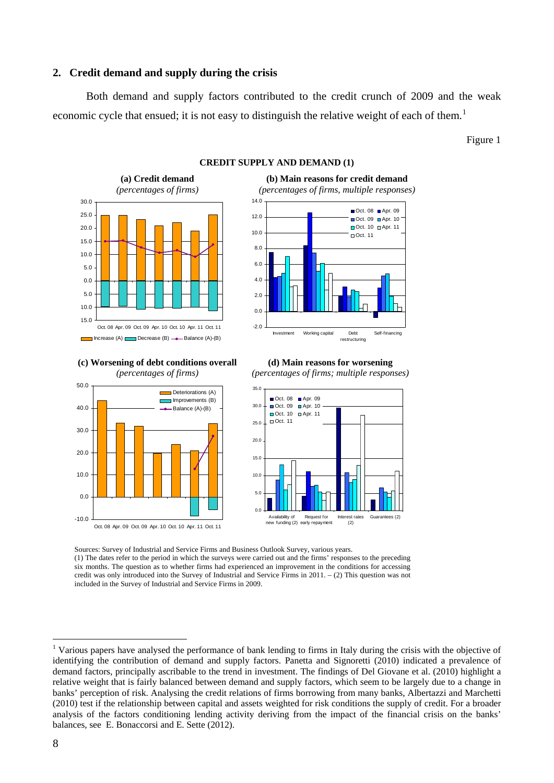## <span id="page-3-0"></span>**2. Credit demand and supply during the crisis**

Both demand and supply factors contributed to the credit crunch of 2009 and the weak economic cycle that ensued; it is not easy to distinguish the relative weight of each of them.<sup>[1](#page-3-1)</sup>

Figure 1



**(c) Worsening of debt conditions overall** 



#### **CREDIT SUPPLY AND DEMAND (1)**



#### **(d) Main reasons for worsening**

*(percentages of firms; multiple responses)*



Sources: Survey of Industrial and Service Firms and Business Outlook Survey, various years. (1) The dates refer to the period in which the surveys were carried out and the firms' responses to the preceding six months. The question as to whether firms had experienced an improvement in the conditions for accessing credit was only introduced into the Survey of Industrial and Service Firms in 2011. – (2) This question was not included in the Survey of Industrial and Service Firms in 2009.

<span id="page-3-1"></span><sup>&</sup>lt;sup>1</sup> Various papers have analysed the performance of bank lending to firms in Italy during the crisis with the objective of identifying the contribution of demand and supply factors. Panetta and Signoretti (2010) indicated a prevalence of demand factors, principally ascribable to the trend in investment. The findings of Del Giovane et al. (2010) highlight a relative weight that is fairly balanced between demand and supply factors, which seem to be largely due to a change in banks' perception of risk. Analysing the credit relations of firms borrowing from many banks, Albertazzi and Marchetti (2010) test if the relationship between capital and assets weighted for risk conditions the supply of credit. For a broader analysis of the factors conditioning lending activity deriving from the impact of the financial crisis on the banks' balances, see E. Bonaccorsi and E. Sette (2012).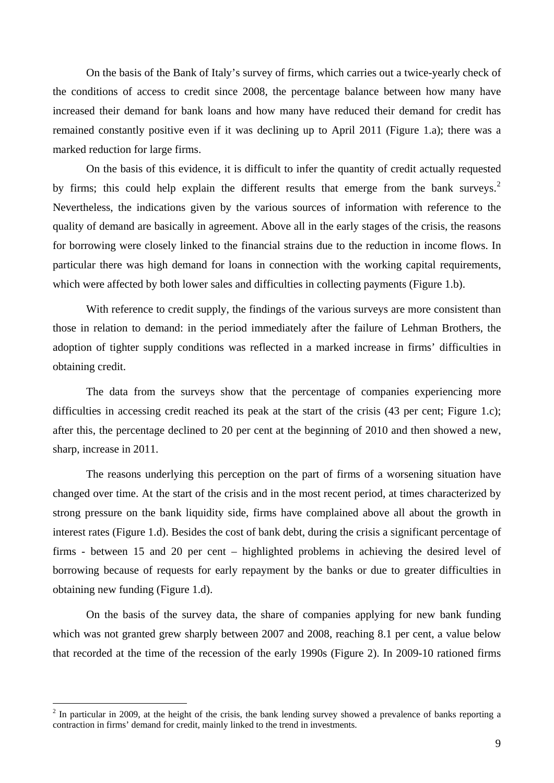On the basis of the Bank of Italy's survey of firms, which carries out a twice-yearly check of the conditions of access to credit since 2008, the percentage balance between how many have increased their demand for bank loans and how many have reduced their demand for credit has remained constantly positive even if it was declining up to April 2011 (Figure 1.a); there was a marked reduction for large firms.

On the basis of this evidence, it is difficult to infer the quantity of credit actually requested by firms; this could help explain the different results that emerge from the bank surveys.<sup>[2](#page-4-0)</sup> Nevertheless, the indications given by the various sources of information with reference to the quality of demand are basically in agreement. Above all in the early stages of the crisis, the reasons for borrowing were closely linked to the financial strains due to the reduction in income flows. In particular there was high demand for loans in connection with the working capital requirements, which were affected by both lower sales and difficulties in collecting payments (Figure 1.b).

With reference to credit supply, the findings of the various surveys are more consistent than those in relation to demand: in the period immediately after the failure of Lehman Brothers, the adoption of tighter supply conditions was reflected in a marked increase in firms' difficulties in obtaining credit.

The data from the surveys show that the percentage of companies experiencing more difficulties in accessing credit reached its peak at the start of the crisis (43 per cent; Figure 1.c); after this, the percentage declined to 20 per cent at the beginning of 2010 and then showed a new, sharp, increase in 2011.

The reasons underlying this perception on the part of firms of a worsening situation have changed over time. At the start of the crisis and in the most recent period, at times characterized by strong pressure on the bank liquidity side, firms have complained above all about the growth in interest rates (Figure 1.d). Besides the cost of bank debt, during the crisis a significant percentage of firms - between 15 and 20 per cent – highlighted problems in achieving the desired level of borrowing because of requests for early repayment by the banks or due to greater difficulties in obtaining new funding (Figure 1.d).

On the basis of the survey data, the share of companies applying for new bank funding which was not granted grew sharply between 2007 and 2008, reaching 8.1 per cent, a value below that recorded at the time of the recession of the early 1990s (Figure 2). In 2009-10 rationed firms

<span id="page-4-0"></span> $2$  In particular in 2009, at the height of the crisis, the bank lending survey showed a prevalence of banks reporting a contraction in firms' demand for credit, mainly linked to the trend in investments.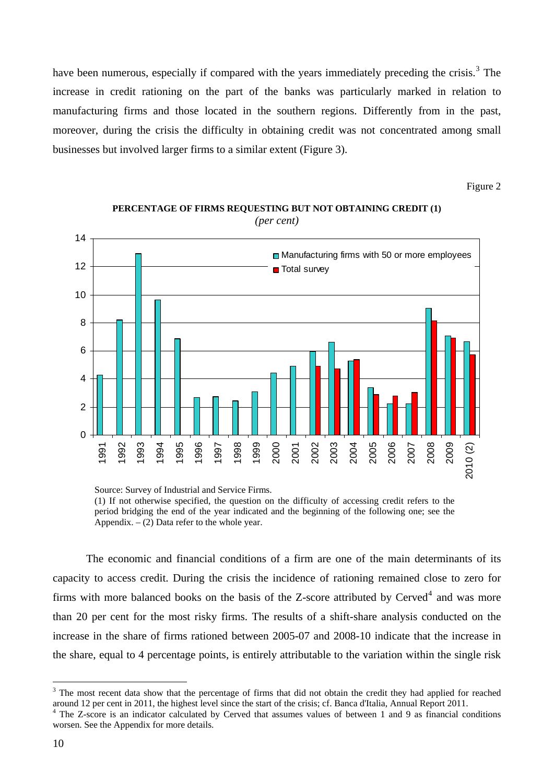have been numerous, especially if compared with the years immediately preceding the crisis.<sup>[3](#page-5-0)</sup> The increase in credit rationing on the part of the banks was particularly marked in relation to manufacturing firms and those located in the southern regions. Differently from in the past, moreover, during the crisis the difficulty in obtaining credit was not concentrated among small businesses but involved larger firms to a similar extent (Figure 3).

Figure 2



**PERCENTAGE OF FIRMS REQUESTING BUT NOT OBTAINING CREDIT (1)**  *(per cent)* 

Source: Survey of Industrial and Service Firms. (1) If not otherwise specified, the question on the difficulty of accessing credit refers to the period bridging the end of the year indicated and the beginning of the following one; see the Appendix.  $- (2)$  Data refer to the whole year.

The economic and financial conditions of a firm are one of the main determinants of its capacity to access credit. During the crisis the incidence of rationing remained close to zero for firms with more balanced books on the basis of the Z-score attributed by Cerved<sup>[4](#page-5-1)</sup> and was more than 20 per cent for the most risky firms. The results of a shift-share analysis conducted on the increase in the share of firms rationed between 2005-07 and 2008-10 indicate that the increase in the share, equal to 4 percentage points, is entirely attributable to the variation within the single risk

<span id="page-5-0"></span> $3$  The most recent data show that the percentage of firms that did not obtain the credit they had applied for reached around 12 per cent in 2011, the highest level since the start of the crisis; cf. Banca d'Italia, Annual Report 2011. 4

<span id="page-5-1"></span><sup>&</sup>lt;sup>4</sup> The Z-score is an indicator calculated by Cerved that assumes values of between 1 and 9 as financial conditions worsen. See the Appendix for more details.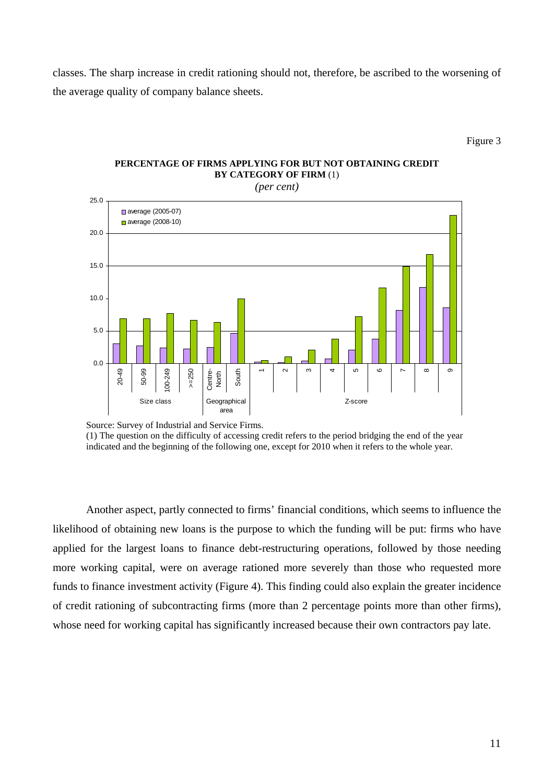classes. The sharp increase in credit rationing should not, therefore, be ascribed to the worsening of the average quality of company balance sheets.

Figure 3



# **PERCENTAGE OF FIRMS APPLYING FOR BUT NOT OBTAINING CREDIT BY CATEGORY OF FIRM** (1)

Source: Survey of Industrial and Service Firms. (1) The question on the difficulty of accessing credit refers to the period bridging the end of the year indicated and the beginning of the following one, except for 2010 when it refers to the whole year.

Another aspect, partly connected to firms' financial conditions, which seems to influence the likelihood of obtaining new loans is the purpose to which the funding will be put: firms who have applied for the largest loans to finance debt-restructuring operations, followed by those needing more working capital, were on average rationed more severely than those who requested more funds to finance investment activity (Figure 4). This finding could also explain the greater incidence of credit rationing of subcontracting firms (more than 2 percentage points more than other firms), whose need for working capital has significantly increased because their own contractors pay late.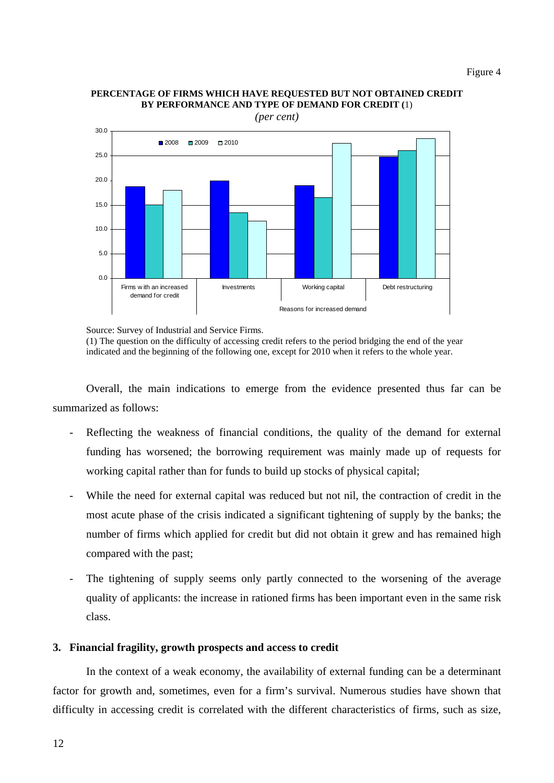

#### **PERCENTAGE OF FIRMS WHICH HAVE REQUESTED BUT NOT OBTAINED CREDIT BY PERFORMANCE AND TYPE OF DEMAND FOR CREDIT (**1)

Source: Survey of Industrial and Service Firms.

(1) The question on the difficulty of accessing credit refers to the period bridging the end of the year indicated and the beginning of the following one, except for 2010 when it refers to the whole year.

Overall, the main indications to emerge from the evidence presented thus far can be summarized as follows:

- Reflecting the weakness of financial conditions, the quality of the demand for external funding has worsened; the borrowing requirement was mainly made up of requests for working capital rather than for funds to build up stocks of physical capital;
- While the need for external capital was reduced but not nil, the contraction of credit in the most acute phase of the crisis indicated a significant tightening of supply by the banks; the number of firms which applied for credit but did not obtain it grew and has remained high compared with the past;
- The tightening of supply seems only partly connected to the worsening of the average quality of applicants: the increase in rationed firms has been important even in the same risk class.

# <span id="page-7-0"></span>**3. Financial fragility, growth prospects and access to credit**

In the context of a weak economy, the availability of external funding can be a determinant factor for growth and, sometimes, even for a firm's survival. Numerous studies have shown that difficulty in accessing credit is correlated with the different characteristics of firms, such as size,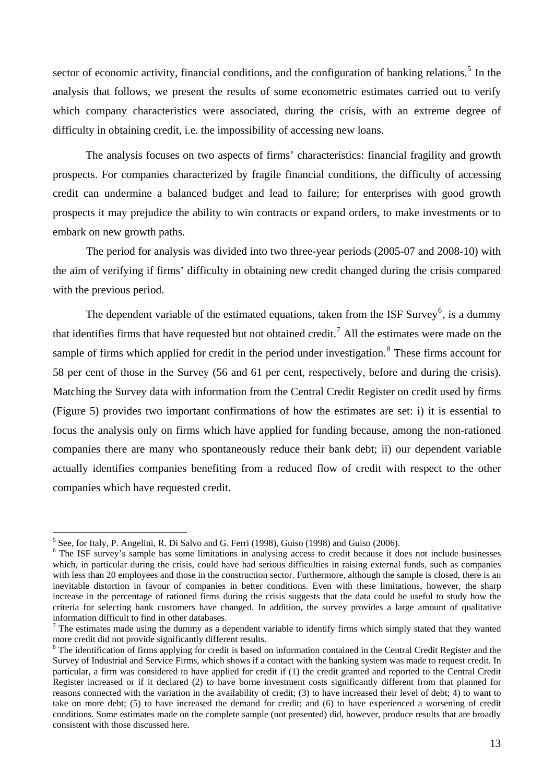sector of economic activity, financial conditions, and the configuration of banking relations.<sup>[5](#page-8-0)</sup> In the analysis that follows, we present the results of some econometric estimates carried out to verify which company characteristics were associated, during the crisis, with an extreme degree of difficulty in obtaining credit, i.e. the impossibility of accessing new loans.

The analysis focuses on two aspects of firms' characteristics: financial fragility and growth prospects. For companies characterized by fragile financial conditions, the difficulty of accessing credit can undermine a balanced budget and lead to failure; for enterprises with good growth prospects it may prejudice the ability to win contracts or expand orders, to make investments or to embark on new growth paths.

The period for analysis was divided into two three-year periods (2005-07 and 2008-10) with the aim of verifying if firms' difficulty in obtaining new credit changed during the crisis compared with the previous period.

The dependent variable of the estimated equations, taken from the ISF Survey<sup>[6](#page-8-1)</sup>, is a dummy that identifies firms that have requested but not obtained credit.<sup>[7](#page-8-2)</sup> All the estimates were made on the sample of firms which applied for credit in the period under investigation.<sup>[8](#page-8-3)</sup> These firms account for 58 per cent of those in the Survey (56 and 61 per cent, respectively, before and during the crisis). Matching the Survey data with information from the Central Credit Register on credit used by firms (Figure 5) provides two important confirmations of how the estimates are set: i) it is essential to focus the analysis only on firms which have applied for funding because, among the non-rationed companies there are many who spontaneously reduce their bank debt; ii) our dependent variable actually identifies companies benefiting from a reduced flow of credit with respect to the other companies which have requested credit.

<span id="page-8-0"></span><sup>&</sup>lt;sup>5</sup> See, for Italy, P. Angelini, R. Di Salvo and G. Ferri (1998), Guiso (1998) and Guiso (2006).

<span id="page-8-1"></span><sup>&</sup>lt;sup>6</sup> The ISF survey's sample has some limitations in analysing access to credit because it does not include businesses which, in particular during the crisis, could have had serious difficulties in raising external funds, such as companies with less than 20 employees and those in the construction sector. Furthermore, although the sample is closed, there is an inevitable distortion in favour of companies in better conditions. Even with these limitations, however, the sharp increase in the percentage of rationed firms during the crisis suggests that the data could be useful to study how the criteria for selecting bank customers have changed. In addition, the survey provides a large amount of qualitative information difficult to find in other databases.

<span id="page-8-2"></span> $<sup>7</sup>$  The estimates made using the dummy as a dependent variable to identify firms which simply stated that they wanted</sup> more credit did not provide significantly different results.

<span id="page-8-3"></span><sup>&</sup>lt;sup>8</sup> The identification of firms applying for credit is based on information contained in the Central Credit Register and the Survey of Industrial and Service Firms, which shows if a contact with the banking system was made to request credit. In particular, a firm was considered to have applied for credit if (1) the credit granted and reported to the Central Credit Register increased or if it declared (2) to have borne investment costs significantly different from that planned for reasons connected with the variation in the availability of credit; (3) to have increased their level of debt; 4) to want to take on more debt; (5) to have increased the demand for credit; and (6) to have experienced a worsening of credit conditions. Some estimates made on the complete sample (not presented) did, however, produce results that are broadly consistent with those discussed here.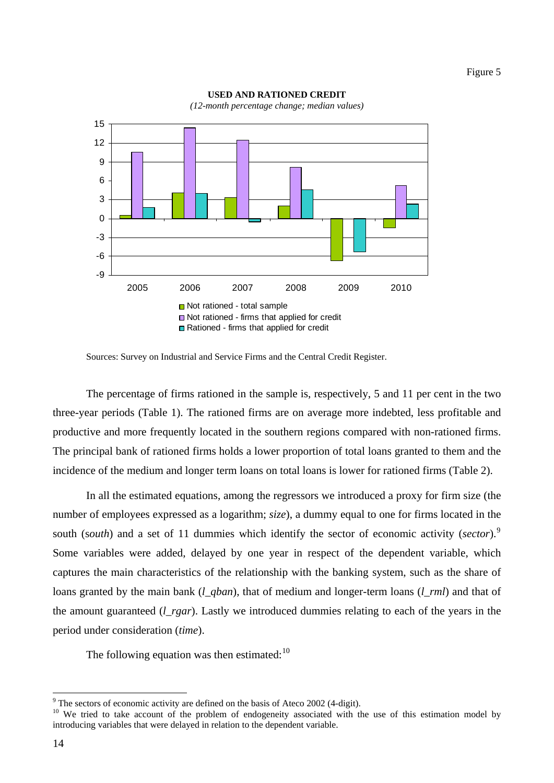

**USED AND RATIONED CREDIT** 

*(12-month percentage change; median values)*

The percentage of firms rationed in the sample is, respectively, 5 and 11 per cent in the two three-year periods (Table 1). The rationed firms are on average more indebted, less profitable and productive and more frequently located in the southern regions compared with non-rationed firms. The principal bank of rationed firms holds a lower proportion of total loans granted to them and the incidence of the medium and longer term loans on total loans is lower for rationed firms (Table 2).

In all the estimated equations, among the regressors we introduced a proxy for firm size (the number of employees expressed as a logarithm; *size*), a dummy equal to one for firms located in the south (s*outh*) and a set of 11 dummies which identify the sector of economic activity (*sector*).[9](#page-9-0) Some variables were added, delayed by one year in respect of the dependent variable, which captures the main characteristics of the relationship with the banking system, such as the share of loans granted by the main bank (*l\_qban*), that of medium and longer-term loans (*l\_rml*) and that of the amount guaranteed (*l\_rgar*). Lastly we introduced dummies relating to each of the years in the period under consideration (*time*).

The following equation was then estimated:  $10$ 

Sources: Survey on Industrial and Service Firms and the Central Credit Register.

<sup>&</sup>lt;sup>9</sup> The sectors of economic activity are defined on the basis of Ateco 2002 (4-digit).

<span id="page-9-1"></span><span id="page-9-0"></span><sup>&</sup>lt;sup>10</sup> We tried to take account of the problem of endogeneity associated with the use of this estimation model by introducing variables that were delayed in relation to the dependent variable.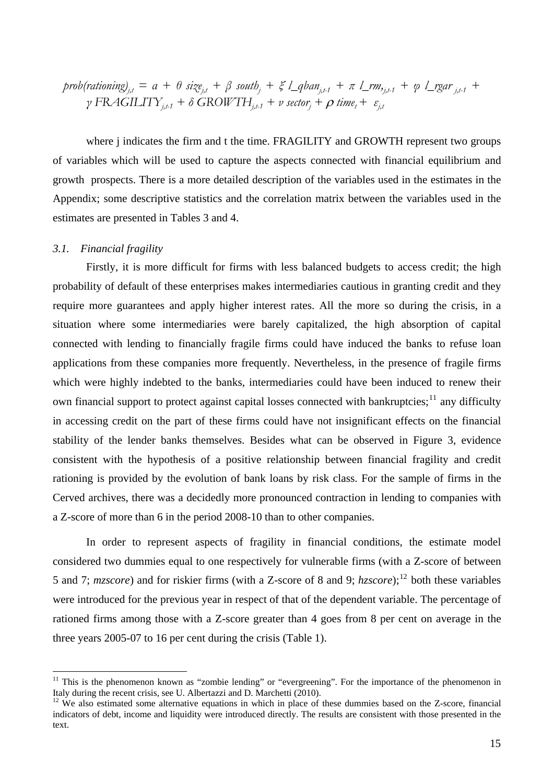$$
prob(rational)_{j,t} = a + \theta \text{ size}_{j,t} + \beta \text{ south}_{j} + \xi \text{ Laplace}_{j,t+1} + \pi \text{ L}_{rm} \text{ times}_{j,t+1} + \varphi \text{ Laplace}_{j,t+1} + \gamma \text{ FRAGILITY}_{j,t+1} + \delta \text{ GROWTH}_{j,t+1} + \nu \text{ sector}_{j} + \rho \text{ time}_{t} + \varepsilon_{j,t}
$$

where j indicates the firm and t the time. FRAGILITY and GROWTH represent two groups of variables which will be used to capture the aspects connected with financial equilibrium and growth prospects. There is a more detailed description of the variables used in the estimates in the Appendix; some descriptive statistics and the correlation matrix between the variables used in the estimates are presented in Tables 3 and 4.

## <span id="page-10-0"></span>*3.1. Financial fragility*

 $\overline{a}$ 

Firstly, it is more difficult for firms with less balanced budgets to access credit; the high probability of default of these enterprises makes intermediaries cautious in granting credit and they require more guarantees and apply higher interest rates. All the more so during the crisis, in a situation where some intermediaries were barely capitalized, the high absorption of capital connected with lending to financially fragile firms could have induced the banks to refuse loan applications from these companies more frequently. Nevertheless, in the presence of fragile firms which were highly indebted to the banks, intermediaries could have been induced to renew their own financial support to protect against capital losses connected with bankruptcies;<sup>[11](#page-10-1)</sup> any difficulty in accessing credit on the part of these firms could have not insignificant effects on the financial stability of the lender banks themselves. Besides what can be observed in Figure 3, evidence consistent with the hypothesis of a positive relationship between financial fragility and credit rationing is provided by the evolution of bank loans by risk class. For the sample of firms in the Cerved archives, there was a decidedly more pronounced contraction in lending to companies with a Z-score of more than 6 in the period 2008-10 than to other companies.

In order to represent aspects of fragility in financial conditions, the estimate model considered two dummies equal to one respectively for vulnerable firms (with a Z-score of between 5 and 7; *mzscore*) and for riskier firms (with a Z-score of 8 and 9; *hzscore*);[12](#page-10-2) both these variables were introduced for the previous year in respect of that of the dependent variable. The percentage of rationed firms among those with a Z-score greater than 4 goes from 8 per cent on average in the three years 2005-07 to 16 per cent during the crisis (Table 1).

<span id="page-10-1"></span> $11$  This is the phenomenon known as "zombie lending" or "evergreening". For the importance of the phenomenon in Italy during the recent crisis, see U. Albertazzi and D. Marchetti (2010).<br><sup>12</sup> We also estimated some alternative equations in which in place of these dummies based on the Z-score, financial

<span id="page-10-2"></span>indicators of debt, income and liquidity were introduced directly. The results are consistent with those presented in the text.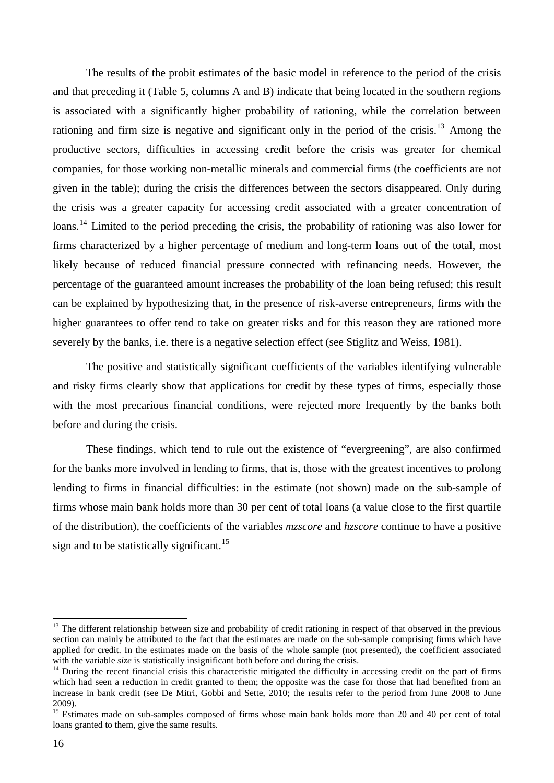The results of the probit estimates of the basic model in reference to the period of the crisis and that preceding it (Table 5, columns A and B) indicate that being located in the southern regions is associated with a significantly higher probability of rationing, while the correlation between rationing and firm size is negative and significant only in the period of the crisis.<sup>[13](#page-11-0)</sup> Among the productive sectors, difficulties in accessing credit before the crisis was greater for chemical companies, for those working non-metallic minerals and commercial firms (the coefficients are not given in the table); during the crisis the differences between the sectors disappeared. Only during the crisis was a greater capacity for accessing credit associated with a greater concentration of loans.<sup>[14](#page-11-1)</sup> Limited to the period preceding the crisis, the probability of rationing was also lower for firms characterized by a higher percentage of medium and long-term loans out of the total, most likely because of reduced financial pressure connected with refinancing needs. However, the percentage of the guaranteed amount increases the probability of the loan being refused; this result can be explained by hypothesizing that, in the presence of risk-averse entrepreneurs, firms with the higher guarantees to offer tend to take on greater risks and for this reason they are rationed more severely by the banks, i.e. there is a negative selection effect (see Stiglitz and Weiss, 1981).

The positive and statistically significant coefficients of the variables identifying vulnerable and risky firms clearly show that applications for credit by these types of firms, especially those with the most precarious financial conditions, were rejected more frequently by the banks both before and during the crisis.

These findings, which tend to rule out the existence of "evergreening", are also confirmed for the banks more involved in lending to firms, that is, those with the greatest incentives to prolong lending to firms in financial difficulties: in the estimate (not shown) made on the sub-sample of firms whose main bank holds more than 30 per cent of total loans (a value close to the first quartile of the distribution), the coefficients of the variables *mzscore* and *hzscore* continue to have a positive sign and to be statistically significant.<sup>[15](#page-11-2)</sup>

<span id="page-11-0"></span> $13$  The different relationship between size and probability of credit rationing in respect of that observed in the previous section can mainly be attributed to the fact that the estimates are made on the sub-sample comprising firms which have applied for credit. In the estimates made on the basis of the whole sample (not presented), the coefficient associated with the variable *size* is statistically insignificant both before and during the crisis.<br><sup>14</sup> During the recent financial crisis this characteristic mitigated the difficulty in accessing credit on the part of firms

<span id="page-11-1"></span>which had seen a reduction in credit granted to them; the opposite was the case for those that had benefited from an increase in bank credit (see De Mitri, Gobbi and Sette, 2010; the results refer to the period from June 2008 to June 2009).

<span id="page-11-2"></span><sup>&</sup>lt;sup>15</sup> Estimates made on sub-samples composed of firms whose main bank holds more than 20 and 40 per cent of total loans granted to them, give the same results.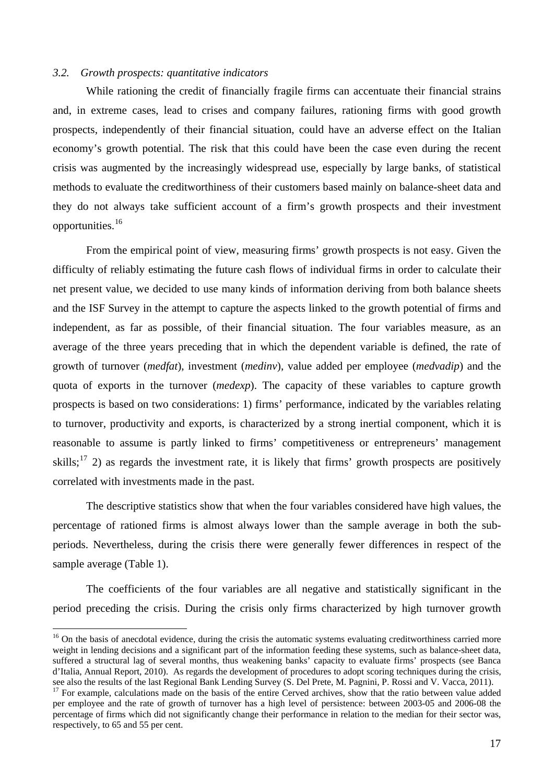## <span id="page-12-0"></span>*3.2. Growth prospects: quantitative indicators*

 $\overline{a}$ 

While rationing the credit of financially fragile firms can accentuate their financial strains and, in extreme cases, lead to crises and company failures, rationing firms with good growth prospects, independently of their financial situation, could have an adverse effect on the Italian economy's growth potential. The risk that this could have been the case even during the recent crisis was augmented by the increasingly widespread use, especially by large banks, of statistical methods to evaluate the creditworthiness of their customers based mainly on balance-sheet data and they do not always take sufficient account of a firm's growth prospects and their investment opportunities.[16](#page-12-1)

From the empirical point of view, measuring firms' growth prospects is not easy. Given the difficulty of reliably estimating the future cash flows of individual firms in order to calculate their net present value, we decided to use many kinds of information deriving from both balance sheets and the ISF Survey in the attempt to capture the aspects linked to the growth potential of firms and independent, as far as possible, of their financial situation. The four variables measure, as an average of the three years preceding that in which the dependent variable is defined, the rate of growth of turnover (*medfat*), investment (*medinv*), value added per employee (*medvadip*) and the quota of exports in the turnover (*medexp*). The capacity of these variables to capture growth prospects is based on two considerations: 1) firms' performance, indicated by the variables relating to turnover, productivity and exports, is characterized by a strong inertial component, which it is reasonable to assume is partly linked to firms' competitiveness or entrepreneurs' management skills;<sup>[17](#page-12-2)</sup> 2) as regards the investment rate, it is likely that firms' growth prospects are positively correlated with investments made in the past.

The descriptive statistics show that when the four variables considered have high values, the percentage of rationed firms is almost always lower than the sample average in both the subperiods. Nevertheless, during the crisis there were generally fewer differences in respect of the sample average (Table 1).

The coefficients of the four variables are all negative and statistically significant in the period preceding the crisis. During the crisis only firms characterized by high turnover growth

<span id="page-12-1"></span><sup>&</sup>lt;sup>16</sup> On the basis of anecdotal evidence, during the crisis the automatic systems evaluating creditworthiness carried more weight in lending decisions and a significant part of the information feeding these systems, such as balance-sheet data, suffered a structural lag of several months, thus weakening banks' capacity to evaluate firms' prospects (see Banca d'Italia, Annual Report, 2010). As regards the development of procedures to adopt scoring techniques during the crisis, see also the results of the last Regional Bank Lending Survey (S. Del Prete, M. Pagnini, P. Rossi and

<span id="page-12-2"></span><sup>&</sup>lt;sup>17</sup> For example, calculations made on the basis of the entire Cerved archives, show that the ratio between value added per employee and the rate of growth of turnover has a high level of persistence: between 2003-05 and 2006-08 the percentage of firms which did not significantly change their performance in relation to the median for their sector was, respectively, to 65 and 55 per cent.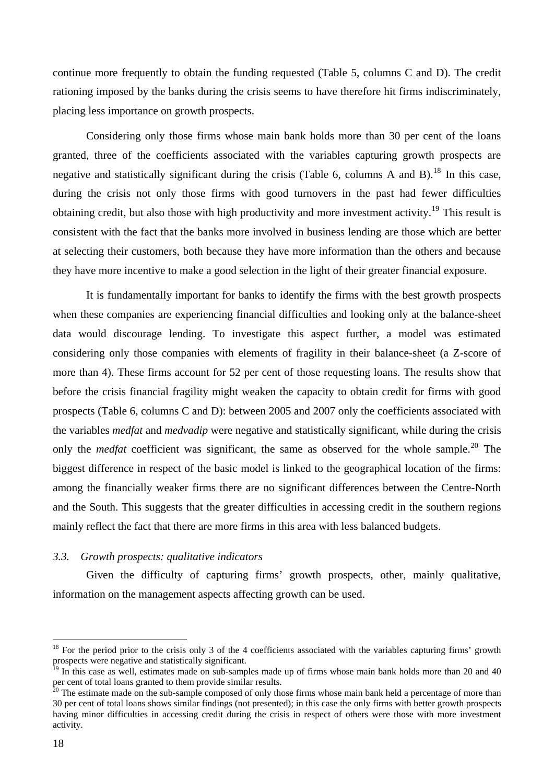continue more frequently to obtain the funding requested (Table 5, columns C and D). The credit rationing imposed by the banks during the crisis seems to have therefore hit firms indiscriminately, placing less importance on growth prospects.

Considering only those firms whose main bank holds more than 30 per cent of the loans granted, three of the coefficients associated with the variables capturing growth prospects are negative and statistically significant during the crisis (Table 6, columns A and B).<sup>[18](#page-13-1)</sup> In this case, during the crisis not only those firms with good turnovers in the past had fewer difficulties obtaining credit, but also those with high productivity and more investment activity.<sup>[19](#page-13-2)</sup> This result is consistent with the fact that the banks more involved in business lending are those which are better at selecting their customers, both because they have more information than the others and because they have more incentive to make a good selection in the light of their greater financial exposure.

It is fundamentally important for banks to identify the firms with the best growth prospects when these companies are experiencing financial difficulties and looking only at the balance-sheet data would discourage lending. To investigate this aspect further, a model was estimated considering only those companies with elements of fragility in their balance-sheet (a Z-score of more than 4). These firms account for 52 per cent of those requesting loans. The results show that before the crisis financial fragility might weaken the capacity to obtain credit for firms with good prospects (Table 6, columns C and D): between 2005 and 2007 only the coefficients associated with the variables *medfat* and *medvadip* were negative and statistically significant, while during the crisis only the *medfat* coefficient was significant, the same as observed for the whole sample.<sup>[20](#page-13-3)</sup> The biggest difference in respect of the basic model is linked to the geographical location of the firms: among the financially weaker firms there are no significant differences between the Centre-North and the South. This suggests that the greater difficulties in accessing credit in the southern regions mainly reflect the fact that there are more firms in this area with less balanced budgets.

# <span id="page-13-0"></span>*3.3. Growth prospects: qualitative indicators*

Given the difficulty of capturing firms' growth prospects, other, mainly qualitative, information on the management aspects affecting growth can be used.

<span id="page-13-1"></span> $18$  For the period prior to the crisis only 3 of the 4 coefficients associated with the variables capturing firms' growth prospects were negative and statistically significant.

<span id="page-13-2"></span><sup>&</sup>lt;sup>19</sup> In this case as well, estimates made on sub-samples made up of firms whose main bank holds more than 20 and 40 per cent of total loans granted to them provide similar results.

<span id="page-13-3"></span> $20$  The estimate made on the sub-sample composed of only those firms whose main bank held a percentage of more than 30 per cent of total loans shows similar findings (not presented); in this case the only firms with better growth prospects having minor difficulties in accessing credit during the crisis in respect of others were those with more investment activity.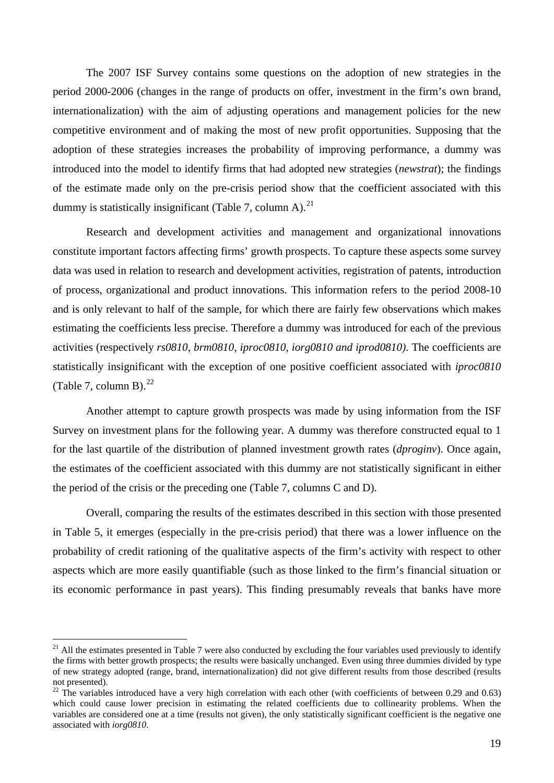The 2007 ISF Survey contains some questions on the adoption of new strategies in the period 2000-2006 (changes in the range of products on offer, investment in the firm's own brand, internationalization) with the aim of adjusting operations and management policies for the new competitive environment and of making the most of new profit opportunities. Supposing that the adoption of these strategies increases the probability of improving performance, a dummy was introduced into the model to identify firms that had adopted new strategies (*newstrat*); the findings of the estimate made only on the pre-crisis period show that the coefficient associated with this dummy is statistically insignificant (Table 7, column A).<sup>[21](#page-14-0)</sup>

Research and development activities and management and organizational innovations constitute important factors affecting firms' growth prospects. To capture these aspects some survey data was used in relation to research and development activities, registration of patents, introduction of process, organizational and product innovations. This information refers to the period 2008-10 and is only relevant to half of the sample, for which there are fairly few observations which makes estimating the coefficients less precise. Therefore a dummy was introduced for each of the previous activities (respectively *rs0810*, *brm0810, iproc0810, iorg0810 and iprod0810)*. The coefficients are statistically insignificant with the exception of one positive coefficient associated with *iproc0810*  (Table 7, column B). $^{22}$  $^{22}$  $^{22}$ 

Another attempt to capture growth prospects was made by using information from the ISF Survey on investment plans for the following year. A dummy was therefore constructed equal to 1 for the last quartile of the distribution of planned investment growth rates (*dproginv*). Once again, the estimates of the coefficient associated with this dummy are not statistically significant in either the period of the crisis or the preceding one (Table 7, columns C and D).

Overall, comparing the results of the estimates described in this section with those presented in Table 5, it emerges (especially in the pre-crisis period) that there was a lower influence on the probability of credit rationing of the qualitative aspects of the firm's activity with respect to other aspects which are more easily quantifiable (such as those linked to the firm's financial situation or its economic performance in past years). This finding presumably reveals that banks have more

<span id="page-14-0"></span> $^{21}$  All the estimates presented in Table 7 were also conducted by excluding the four variables used previously to identify the firms with better growth prospects; the results were basically unchanged. Even using three dummies divided by type of new strategy adopted (range, brand, internationalization) did not give different results from those described (results not presented).

<span id="page-14-1"></span> $^{22}$  The variables introduced have a very high correlation with each other (with coefficients of between 0.29 and 0.63) which could cause lower precision in estimating the related coefficients due to collinearity problems. When the variables are considered one at a time (results not given), the only statistically significant coefficient is the negative one associated with *iorg0810*.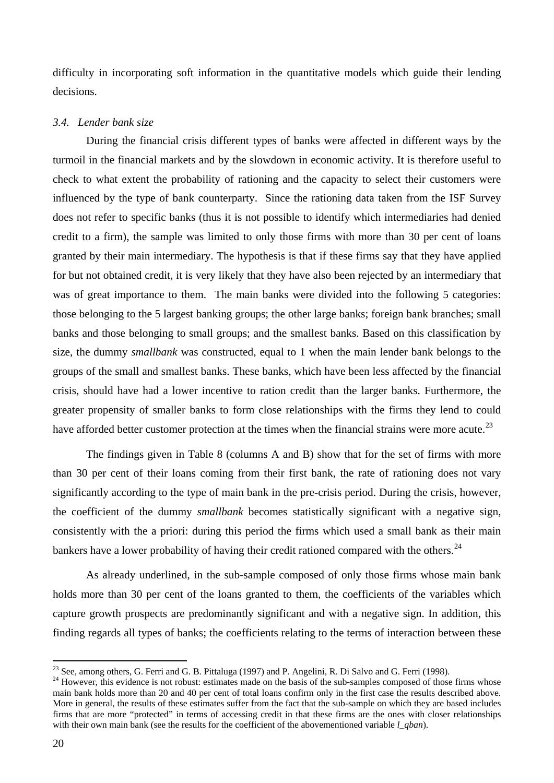difficulty in incorporating soft information in the quantitative models which guide their lending decisions.

## <span id="page-15-0"></span>*3.4. Lender bank size*

During the financial crisis different types of banks were affected in different ways by the turmoil in the financial markets and by the slowdown in economic activity. It is therefore useful to check to what extent the probability of rationing and the capacity to select their customers were influenced by the type of bank counterparty. Since the rationing data taken from the ISF Survey does not refer to specific banks (thus it is not possible to identify which intermediaries had denied credit to a firm), the sample was limited to only those firms with more than 30 per cent of loans granted by their main intermediary. The hypothesis is that if these firms say that they have applied for but not obtained credit, it is very likely that they have also been rejected by an intermediary that was of great importance to them. The main banks were divided into the following 5 categories: those belonging to the 5 largest banking groups; the other large banks; foreign bank branches; small banks and those belonging to small groups; and the smallest banks. Based on this classification by size, the dummy *smallbank* was constructed, equal to 1 when the main lender bank belongs to the groups of the small and smallest banks. These banks, which have been less affected by the financial crisis, should have had a lower incentive to ration credit than the larger banks. Furthermore, the greater propensity of smaller banks to form close relationships with the firms they lend to could have afforded better customer protection at the times when the financial strains were more acute.<sup>[23](#page-15-1)</sup>

The findings given in Table 8 (columns A and B) show that for the set of firms with more than 30 per cent of their loans coming from their first bank, the rate of rationing does not vary significantly according to the type of main bank in the pre-crisis period. During the crisis, however, the coefficient of the dummy *smallbank* becomes statistically significant with a negative sign, consistently with the a priori: during this period the firms which used a small bank as their main bankers have a lower probability of having their credit rationed compared with the others.<sup>[24](#page-15-2)</sup>

As already underlined, in the sub-sample composed of only those firms whose main bank holds more than 30 per cent of the loans granted to them, the coefficients of the variables which capture growth prospects are predominantly significant and with a negative sign. In addition, this finding regards all types of banks; the coefficients relating to the terms of interaction between these

<span id="page-15-1"></span><sup>&</sup>lt;sup>23</sup> See, among others, G. Ferri and G. B. Pittaluga (1997) and P. Angelini, R. Di Salvo and G. Ferri (1998).

<span id="page-15-2"></span><sup>&</sup>lt;sup>24</sup> However, this evidence is not robust: estimates made on the basis of the sub-samples composed of those firms whose main bank holds more than 20 and 40 per cent of total loans confirm only in the first case the results described above. More in general, the results of these estimates suffer from the fact that the sub-sample on which they are based includes firms that are more "protected" in terms of accessing credit in that these firms are the ones with closer relationships with their own main bank (see the results for the coefficient of the abovementioned variable *l\_qban*).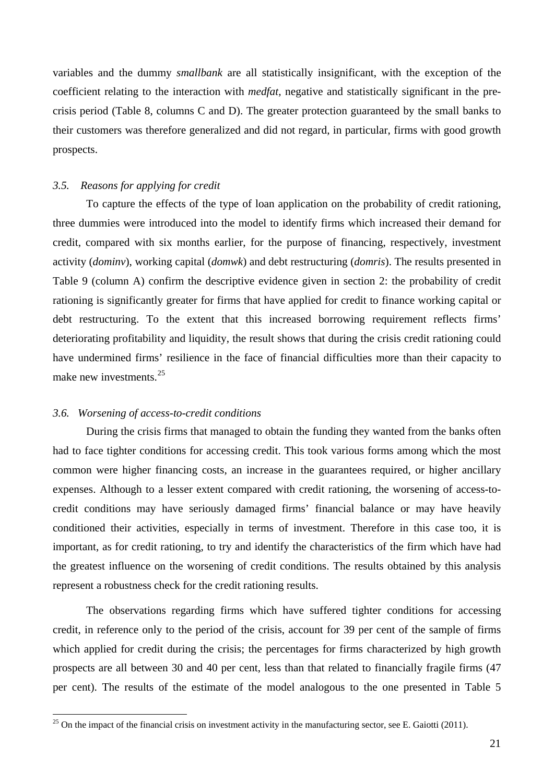variables and the dummy *smallbank* are all statistically insignificant, with the exception of the coefficient relating to the interaction with *medfat,* negative and statistically significant in the precrisis period (Table 8, columns C and D). The greater protection guaranteed by the small banks to their customers was therefore generalized and did not regard, in particular, firms with good growth prospects.

## <span id="page-16-0"></span>*3.5. Reasons for applying for credit*

To capture the effects of the type of loan application on the probability of credit rationing, three dummies were introduced into the model to identify firms which increased their demand for credit, compared with six months earlier, for the purpose of financing, respectively, investment activity (*dominv*), working capital (*domwk*) and debt restructuring (*domris*). The results presented in Table 9 (column A) confirm the descriptive evidence given in section 2: the probability of credit rationing is significantly greater for firms that have applied for credit to finance working capital or debt restructuring. To the extent that this increased borrowing requirement reflects firms' deteriorating profitability and liquidity, the result shows that during the crisis credit rationing could have undermined firms' resilience in the face of financial difficulties more than their capacity to make new investments.<sup>[25](#page-16-2)</sup>

# <span id="page-16-1"></span>*3.6. Worsening of access-to-credit conditions*

 $\overline{a}$ 

During the crisis firms that managed to obtain the funding they wanted from the banks often had to face tighter conditions for accessing credit. This took various forms among which the most common were higher financing costs, an increase in the guarantees required, or higher ancillary expenses. Although to a lesser extent compared with credit rationing, the worsening of access-tocredit conditions may have seriously damaged firms' financial balance or may have heavily conditioned their activities, especially in terms of investment. Therefore in this case too, it is important, as for credit rationing, to try and identify the characteristics of the firm which have had the greatest influence on the worsening of credit conditions. The results obtained by this analysis represent a robustness check for the credit rationing results.

The observations regarding firms which have suffered tighter conditions for accessing credit, in reference only to the period of the crisis, account for 39 per cent of the sample of firms which applied for credit during the crisis; the percentages for firms characterized by high growth prospects are all between 30 and 40 per cent, less than that related to financially fragile firms (47 per cent). The results of the estimate of the model analogous to the one presented in Table 5

<span id="page-16-2"></span> $25$  On the impact of the financial crisis on investment activity in the manufacturing sector, see E. Gaiotti (2011).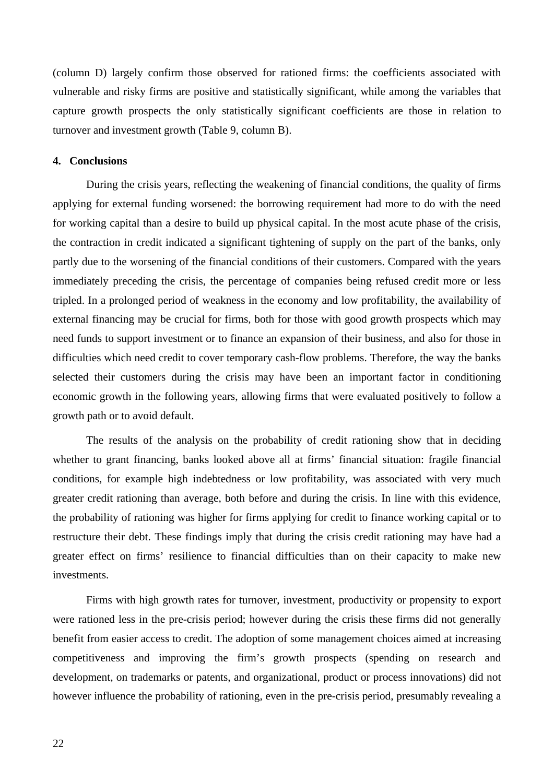(column D) largely confirm those observed for rationed firms: the coefficients associated with vulnerable and risky firms are positive and statistically significant, while among the variables that capture growth prospects the only statistically significant coefficients are those in relation to turnover and investment growth (Table 9, column B).

# <span id="page-17-0"></span>**4. Conclusions**

During the crisis years, reflecting the weakening of financial conditions, the quality of firms applying for external funding worsened: the borrowing requirement had more to do with the need for working capital than a desire to build up physical capital. In the most acute phase of the crisis, the contraction in credit indicated a significant tightening of supply on the part of the banks, only partly due to the worsening of the financial conditions of their customers. Compared with the years immediately preceding the crisis, the percentage of companies being refused credit more or less tripled. In a prolonged period of weakness in the economy and low profitability, the availability of external financing may be crucial for firms, both for those with good growth prospects which may need funds to support investment or to finance an expansion of their business, and also for those in difficulties which need credit to cover temporary cash-flow problems. Therefore, the way the banks selected their customers during the crisis may have been an important factor in conditioning economic growth in the following years, allowing firms that were evaluated positively to follow a growth path or to avoid default.

The results of the analysis on the probability of credit rationing show that in deciding whether to grant financing, banks looked above all at firms' financial situation: fragile financial conditions, for example high indebtedness or low profitability, was associated with very much greater credit rationing than average, both before and during the crisis. In line with this evidence, the probability of rationing was higher for firms applying for credit to finance working capital or to restructure their debt. These findings imply that during the crisis credit rationing may have had a greater effect on firms' resilience to financial difficulties than on their capacity to make new investments.

Firms with high growth rates for turnover, investment, productivity or propensity to export were rationed less in the pre-crisis period; however during the crisis these firms did not generally benefit from easier access to credit. The adoption of some management choices aimed at increasing competitiveness and improving the firm's growth prospects (spending on research and development, on trademarks or patents, and organizational, product or process innovations) did not however influence the probability of rationing, even in the pre-crisis period, presumably revealing a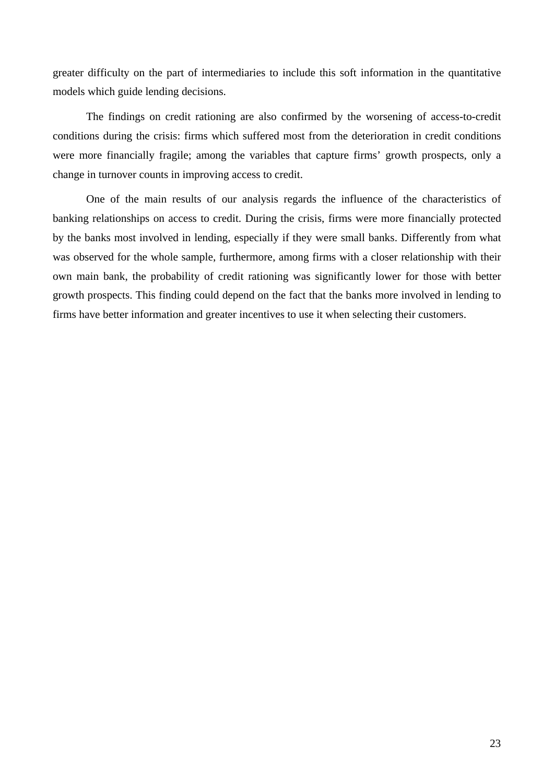greater difficulty on the part of intermediaries to include this soft information in the quantitative models which guide lending decisions.

The findings on credit rationing are also confirmed by the worsening of access-to-credit conditions during the crisis: firms which suffered most from the deterioration in credit conditions were more financially fragile; among the variables that capture firms' growth prospects, only a change in turnover counts in improving access to credit.

One of the main results of our analysis regards the influence of the characteristics of banking relationships on access to credit. During the crisis, firms were more financially protected by the banks most involved in lending, especially if they were small banks. Differently from what was observed for the whole sample, furthermore, among firms with a closer relationship with their own main bank, the probability of credit rationing was significantly lower for those with better growth prospects. This finding could depend on the fact that the banks more involved in lending to firms have better information and greater incentives to use it when selecting their customers.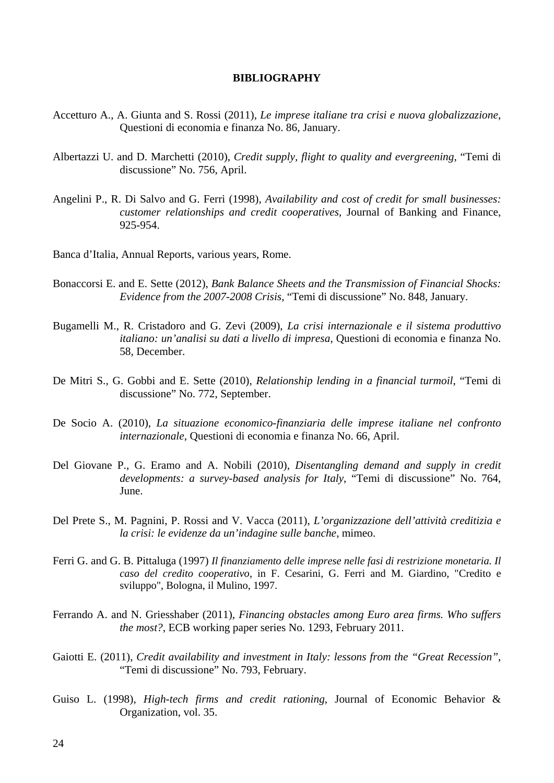#### **BIBLIOGRAPHY**

- <span id="page-19-0"></span>Accetturo A., A. Giunta and S. Rossi (2011), *Le imprese italiane tra crisi e nuova globalizzazione*, Questioni di economia e finanza No. 86, January.
- Albertazzi U. and D. Marchetti (2010), *Credit supply, flight to quality and evergreening*, "Temi di discussione" No. 756, April.
- Angelini P., R. Di Salvo and G. Ferri (1998), *Availability and cost of credit for small businesses: customer relationships and credit cooperatives*, Journal of Banking and Finance, 925-954.
- Banca d'Italia, Annual Reports, various years, Rome.
- Bonaccorsi E. and E. Sette (2012), *Bank Balance Sheets and the Transmission of Financial Shocks: Evidence from the 2007-2008 Crisis*, "Temi di discussione" No. 848, January.
- Bugamelli M., R. Cristadoro and G. Zevi (2009), *La crisi internazionale e il sistema produttivo italiano: un'analisi su dati a livello di impresa*, Questioni di economia e finanza No. 58, December.
- De Mitri S., G. Gobbi and E. Sette (2010), *Relationship lending in a financial turmoil*, "Temi di discussione" No. 772, September.
- De Socio A. (2010), *La situazione economico-finanziaria delle imprese italiane nel confronto internazionale*, Questioni di economia e finanza No. 66, April.
- Del Giovane P., G. Eramo and A. Nobili (2010), *Disentangling demand and supply in credit developments: a survey-based analysis for Italy*, "Temi di discussione" No. 764, June.
- Del Prete S., M. Pagnini, P. Rossi and V. Vacca (2011), *L'organizzazione dell'attività creditizia e la crisi: le evidenze da un'indagine sulle banche*, mimeo.
- Ferri G. and G. B. Pittaluga (1997) *Il finanziamento delle imprese nelle fasi di restrizione monetaria. Il caso del credito cooperativo*, in F. Cesarini, G. Ferri and M. Giardino, "Credito e sviluppo", Bologna, il Mulino, 1997.
- Ferrando A. and N. Griesshaber (2011), *Financing obstacles among Euro area firms. Who suffers the most?*, ECB working paper series No. 1293, February 2011.
- Gaiotti E. (2011), *Credit availability and investment in Italy: lessons from the "Great Recession"*, "Temi di discussione" No. 793, February.
- Guiso L. (1998), *High-tech firms and credit rationing*, Journal of Economic Behavior & Organization, vol. 35.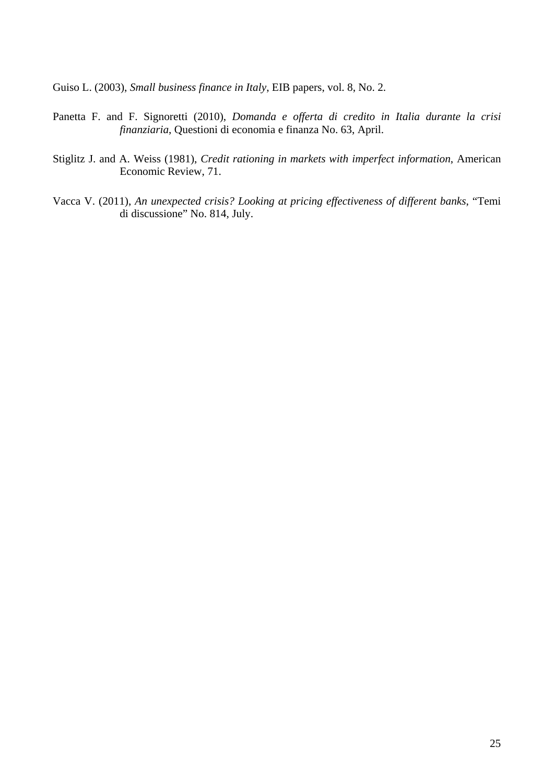Guiso L. (2003), *Small business finance in Italy*, EIB papers, vol. 8, No. 2.

- Panetta F. and F. Signoretti (2010), *Domanda e offerta di credito in Italia durante la crisi finanziaria*, Questioni di economia e finanza No. 63, April.
- Stiglitz J. and A. Weiss (1981), *Credit rationing in markets with imperfect information*, American Economic Review, 71.
- Vacca V. (2011), *An unexpected crisis? Looking at pricing effectiveness of different banks*, "Temi di discussione" No. 814, July.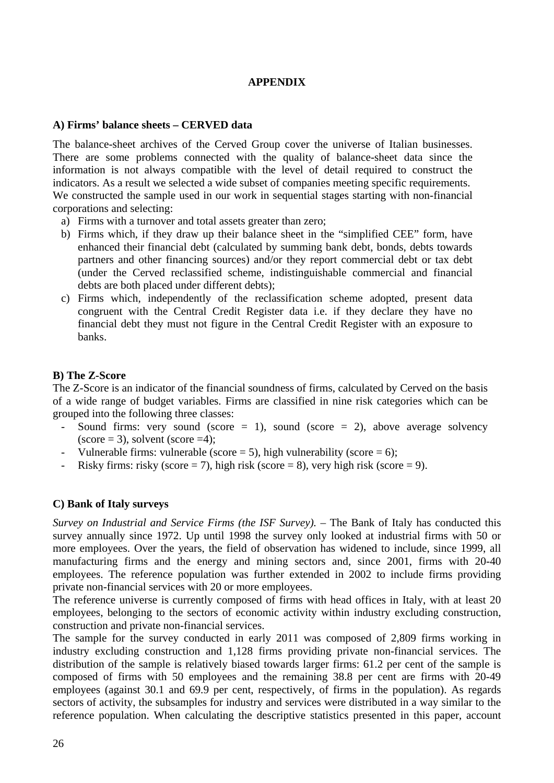# **APPENDIX**

# <span id="page-21-0"></span>**A) Firms' balance sheets – CERVED data**

The balance-sheet archives of the Cerved Group cover the universe of Italian businesses. There are some problems connected with the quality of balance-sheet data since the information is not always compatible with the level of detail required to construct the indicators. As a result we selected a wide subset of companies meeting specific requirements. We constructed the sample used in our work in sequential stages starting with non-financial corporations and selecting:

- a) Firms with a turnover and total assets greater than zero;
- b) Firms which, if they draw up their balance sheet in the "simplified CEE" form, have enhanced their financial debt (calculated by summing bank debt, bonds, debts towards partners and other financing sources) and/or they report commercial debt or tax debt (under the Cerved reclassified scheme, indistinguishable commercial and financial debts are both placed under different debts);
- c) Firms which, independently of the reclassification scheme adopted, present data congruent with the Central Credit Register data i.e. if they declare they have no financial debt they must not figure in the Central Credit Register with an exposure to banks.

### **B) The Z-Score**

The Z-Score is an indicator of the financial soundness of firms, calculated by Cerved on the basis of a wide range of budget variables. Firms are classified in nine risk categories which can be grouped into the following three classes:

- Sound firms: very sound (score  $= 1$ ), sound (score  $= 2$ ), above average solvency  $(\text{score} = 3)$ , solvent  $(\text{score} = 4)$ ;
- Vulnerable firms: vulnerable (score  $= 5$ ), high vulnerability (score  $= 6$ );
- Risky firms: risky (score = 7), high risk (score = 8), very high risk (score = 9).

### **C) Bank of Italy surveys**

*Survey on Industrial and Service Firms (the ISF Survey).* – The Bank of Italy has conducted this survey annually since 1972. Up until 1998 the survey only looked at industrial firms with 50 or more employees. Over the years, the field of observation has widened to include, since 1999, all manufacturing firms and the energy and mining sectors and, since 2001, firms with 20-40 employees. The reference population was further extended in 2002 to include firms providing private non-financial services with 20 or more employees.

The reference universe is currently composed of firms with head offices in Italy, with at least 20 employees, belonging to the sectors of economic activity within industry excluding construction, construction and private non-financial services.

The sample for the survey conducted in early 2011 was composed of 2,809 firms working in industry excluding construction and 1,128 firms providing private non-financial services. The distribution of the sample is relatively biased towards larger firms: 61.2 per cent of the sample is composed of firms with 50 employees and the remaining 38.8 per cent are firms with 20-49 employees (against 30.1 and 69.9 per cent, respectively, of firms in the population). As regards sectors of activity, the subsamples for industry and services were distributed in a way similar to the reference population. When calculating the descriptive statistics presented in this paper, account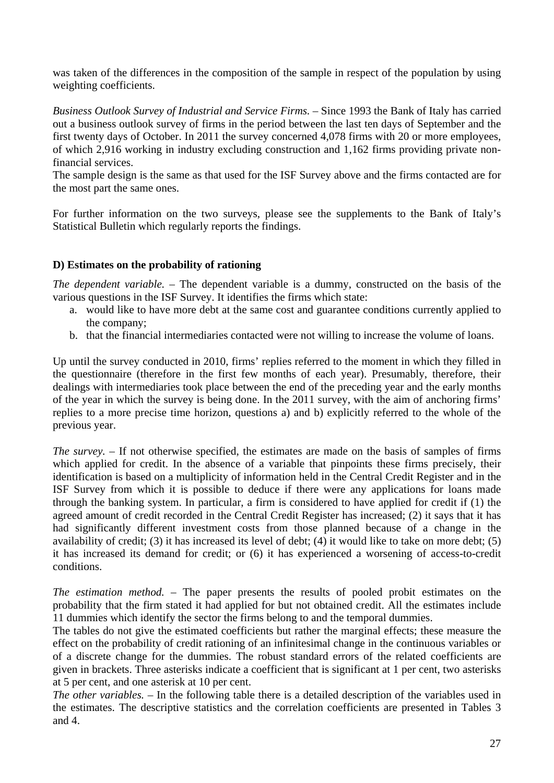was taken of the differences in the composition of the sample in respect of the population by using weighting coefficients.

*Business Outlook Survey of Industrial and Service Firms.* – Since 1993 the Bank of Italy has carried out a business outlook survey of firms in the period between the last ten days of September and the first twenty days of October. In 2011 the survey concerned 4,078 firms with 20 or more employees, of which 2,916 working in industry excluding construction and 1,162 firms providing private nonfinancial services.

The sample design is the same as that used for the ISF Survey above and the firms contacted are for the most part the same ones.

For further information on the two surveys, please see the supplements to the Bank of Italy's Statistical Bulletin which regularly reports the findings.

# **D) Estimates on the probability of rationing**

*The dependent variable.* – The dependent variable is a dummy, constructed on the basis of the various questions in the ISF Survey. It identifies the firms which state:

- a. would like to have more debt at the same cost and guarantee conditions currently applied to the company;
- b. that the financial intermediaries contacted were not willing to increase the volume of loans.

Up until the survey conducted in 2010, firms' replies referred to the moment in which they filled in the questionnaire (therefore in the first few months of each year). Presumably, therefore, their dealings with intermediaries took place between the end of the preceding year and the early months of the year in which the survey is being done. In the 2011 survey, with the aim of anchoring firms' replies to a more precise time horizon, questions a) and b) explicitly referred to the whole of the previous year.

*The survey.* – If not otherwise specified, the estimates are made on the basis of samples of firms which applied for credit. In the absence of a variable that pinpoints these firms precisely, their identification is based on a multiplicity of information held in the Central Credit Register and in the ISF Survey from which it is possible to deduce if there were any applications for loans made through the banking system. In particular, a firm is considered to have applied for credit if (1) the agreed amount of credit recorded in the Central Credit Register has increased; (2) it says that it has had significantly different investment costs from those planned because of a change in the availability of credit; (3) it has increased its level of debt; (4) it would like to take on more debt; (5) it has increased its demand for credit; or (6) it has experienced a worsening of access-to-credit conditions.

*The estimation method.* – The paper presents the results of pooled probit estimates on the probability that the firm stated it had applied for but not obtained credit. All the estimates include 11 dummies which identify the sector the firms belong to and the temporal dummies.

The tables do not give the estimated coefficients but rather the marginal effects; these measure the effect on the probability of credit rationing of an infinitesimal change in the continuous variables or of a discrete change for the dummies. The robust standard errors of the related coefficients are given in brackets. Three asterisks indicate a coefficient that is significant at 1 per cent, two asterisks at 5 per cent, and one asterisk at 10 per cent.

*The other variables.* – In the following table there is a detailed description of the variables used in the estimates. The descriptive statistics and the correlation coefficients are presented in Tables 3 and 4.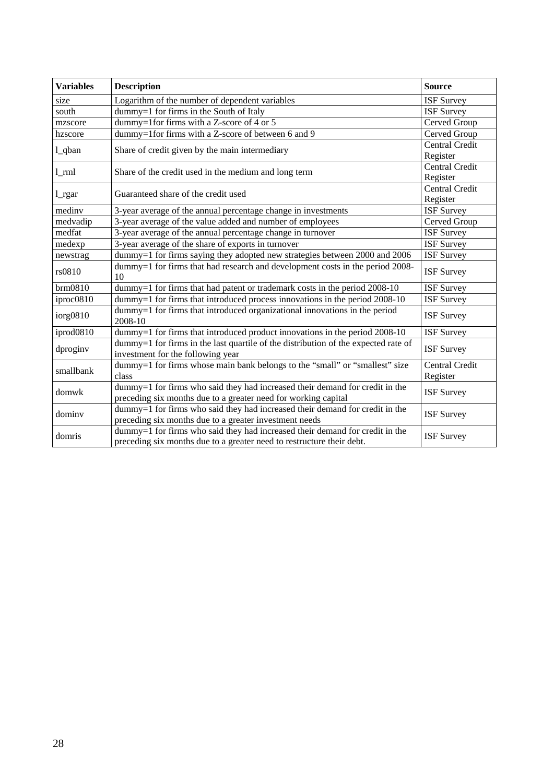| <b>Variables</b> | <b>Description</b>                                                                                                                                    | <b>Source</b>                     |
|------------------|-------------------------------------------------------------------------------------------------------------------------------------------------------|-----------------------------------|
| size             | Logarithm of the number of dependent variables                                                                                                        | <b>ISF Survey</b>                 |
| south            | dummy=1 for firms in the South of Italy                                                                                                               | <b>ISF Survey</b>                 |
| mzscore          | dummy=1for firms with a Z-score of 4 or 5                                                                                                             | Cerved Group                      |
| hzscore          | dummy=1for firms with a Z-score of between 6 and 9                                                                                                    | Cerved Group                      |
| 1_qban           | Share of credit given by the main intermediary                                                                                                        | <b>Central Credit</b><br>Register |
| $1$ _rml         | Share of the credit used in the medium and long term                                                                                                  | <b>Central Credit</b><br>Register |
| 1_rgar           | Guaranteed share of the credit used                                                                                                                   | <b>Central Credit</b><br>Register |
| mediny           | 3-year average of the annual percentage change in investments                                                                                         | <b>ISF Survey</b>                 |
| medvadip         | 3-year average of the value added and number of employees                                                                                             | Cerved Group                      |
| medfat           | 3-year average of the annual percentage change in turnover                                                                                            | <b>ISF Survey</b>                 |
| medexp           | 3-year average of the share of exports in turnover                                                                                                    | <b>ISF Survey</b>                 |
| newstrag         | dummy=1 for firms saying they adopted new strategies between 2000 and 2006                                                                            | <b>ISF Survey</b>                 |
| rs0810           | dummy=1 for firms that had research and development costs in the period 2008-<br>10                                                                   | <b>ISF Survey</b>                 |
| brm0810          | dummy=1 for firms that had patent or trademark costs in the period 2008-10                                                                            | <b>ISF Survey</b>                 |
| iproc0810        | $d$ ummy=1 for firms that introduced process innovations in the period 2008-10                                                                        | <b>ISF Survey</b>                 |
| iorg0810         | dummy=1 for firms that introduced organizational innovations in the period<br>2008-10                                                                 | <b>ISF Survey</b>                 |
| iprod0810        | dummy=1 for firms that introduced product innovations in the period 2008-10                                                                           | <b>ISF Survey</b>                 |
| dproginv         | dummy=1 for firms in the last quartile of the distribution of the expected rate of<br>investment for the following year                               | <b>ISF Survey</b>                 |
| smallbank        | dummy=1 for firms whose main bank belongs to the "small" or "smallest" size<br>class                                                                  | Central Credit<br>Register        |
| domwk            | dummy=1 for firms who said they had increased their demand for credit in the<br>preceding six months due to a greater need for working capital        | <b>ISF Survey</b>                 |
| dominy           | dummy=1 for firms who said they had increased their demand for credit in the<br>preceding six months due to a greater investment needs                | <b>ISF Survey</b>                 |
| domris           | dummy=1 for firms who said they had increased their demand for credit in the<br>preceding six months due to a greater need to restructure their debt. | <b>ISF Survey</b>                 |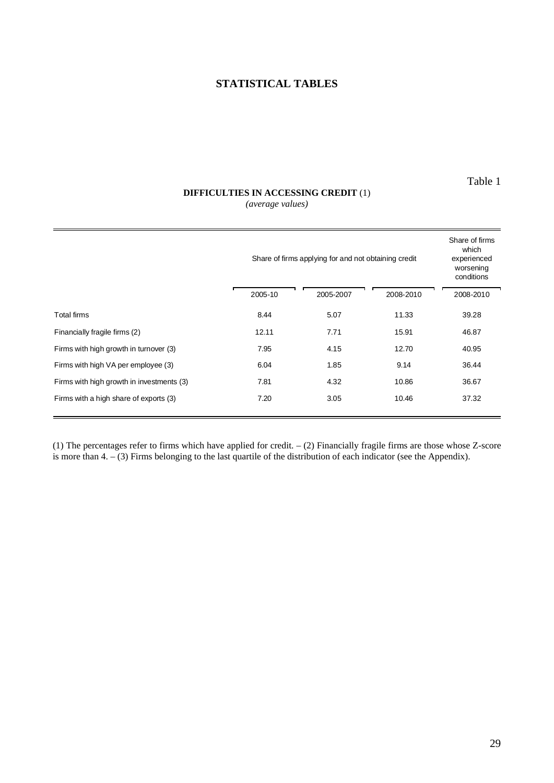# **STATISTICAL TABLES**

## **DIFFICULTIES IN ACCESSING CREDIT** (1)

*(average values)* 

<span id="page-24-0"></span>

|                                           | Share of firms applying for and not obtaining credit |           |           |           |  |
|-------------------------------------------|------------------------------------------------------|-----------|-----------|-----------|--|
|                                           | 2005-10                                              | 2005-2007 | 2008-2010 | 2008-2010 |  |
| Total firms                               | 8.44                                                 | 5.07      | 11.33     | 39.28     |  |
| Financially fragile firms (2)             | 12.11                                                | 7.71      | 15.91     | 46.87     |  |
| Firms with high growth in turnover (3)    | 7.95                                                 | 4.15      | 12.70     | 40.95     |  |
| Firms with high VA per employee (3)       | 6.04                                                 | 1.85      | 9.14      | 36.44     |  |
| Firms with high growth in investments (3) | 7.81                                                 | 4.32      | 10.86     | 36.67     |  |
| Firms with a high share of exports (3)    | 7.20                                                 | 3.05      | 10.46     | 37.32     |  |

(1) The percentages refer to firms which have applied for credit. – (2) Financially fragile firms are those whose Z-score is more than 4. – (3) Firms belonging to the last quartile of the distribution of each indicator (see the Appendix).

Table 1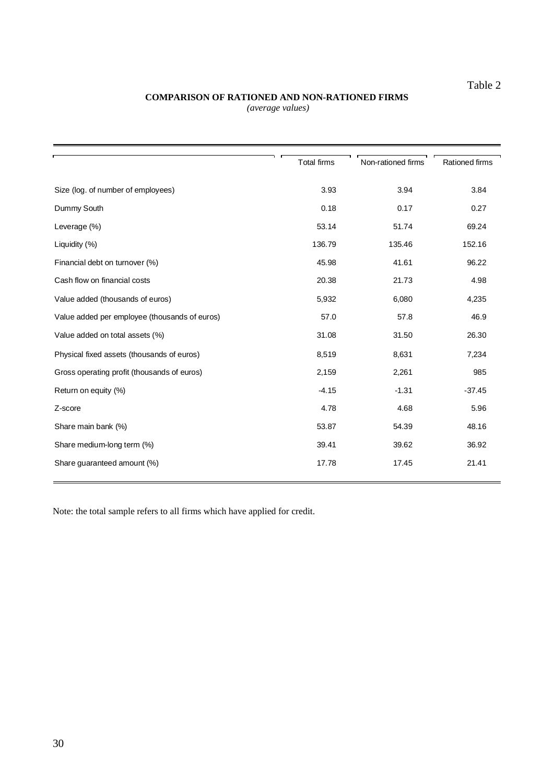Table 2

# **COMPARISON OF RATIONED AND NON-RATIONED FIRMS**

 *(average values)* 

|                                               | <b>Total firms</b> | Non-rationed firms | Rationed firms |
|-----------------------------------------------|--------------------|--------------------|----------------|
|                                               |                    |                    |                |
| Size (log. of number of employees)            | 3.93               | 3.94               | 3.84           |
| Dummy South                                   | 0.18               | 0.17               | 0.27           |
| Leverage (%)                                  | 53.14              | 51.74              | 69.24          |
| Liquidity (%)                                 | 136.79             | 135.46             | 152.16         |
| Financial debt on turnover (%)                | 45.98              | 41.61              | 96.22          |
| Cash flow on financial costs                  | 20.38              | 21.73              | 4.98           |
| Value added (thousands of euros)              | 5,932              | 6,080              | 4,235          |
| Value added per employee (thousands of euros) | 57.0               | 57.8               | 46.9           |
| Value added on total assets (%)               | 31.08              | 31.50              | 26.30          |
| Physical fixed assets (thousands of euros)    | 8,519              | 8,631              | 7,234          |
| Gross operating profit (thousands of euros)   | 2,159              | 2,261              | 985            |
| Return on equity (%)                          | $-4.15$            | $-1.31$            | $-37.45$       |
| Z-score                                       | 4.78               | 4.68               | 5.96           |
| Share main bank (%)                           | 53.87              | 54.39              | 48.16          |
| Share medium-long term (%)                    | 39.41              | 39.62              | 36.92          |
| Share guaranteed amount (%)                   | 17.78              | 17.45              | 21.41          |

Note: the total sample refers to all firms which have applied for credit.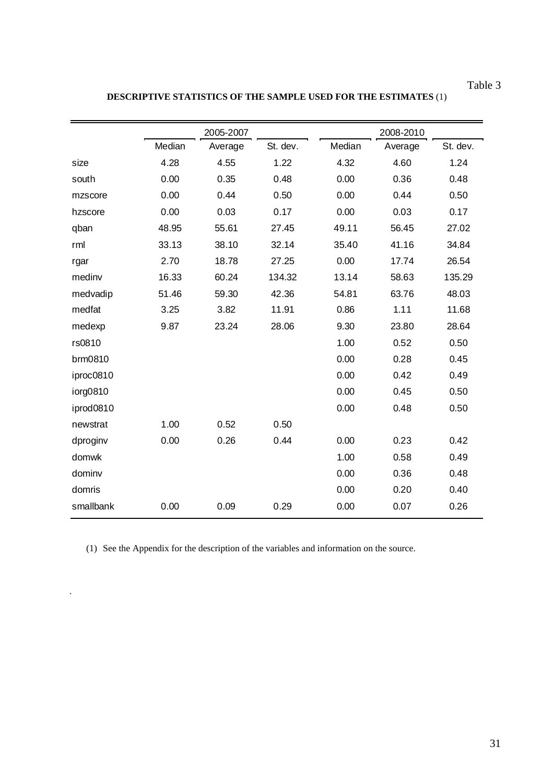# Table 3

**DESCRIPTIVE STATISTICS OF THE SAMPLE USED FOR THE ESTIMATES** (1)

|           |        | 2005-2007 |          |        | 2008-2010 |          |
|-----------|--------|-----------|----------|--------|-----------|----------|
|           | Median | Average   | St. dev. | Median | Average   | St. dev. |
| size      | 4.28   | 4.55      | 1.22     | 4.32   | 4.60      | 1.24     |
| south     | 0.00   | 0.35      | 0.48     | 0.00   | 0.36      | 0.48     |
| mzscore   | 0.00   | 0.44      | 0.50     | 0.00   | 0.44      | 0.50     |
| hzscore   | 0.00   | 0.03      | 0.17     | 0.00   | 0.03      | 0.17     |
| qban      | 48.95  | 55.61     | 27.45    | 49.11  | 56.45     | 27.02    |
| rml       | 33.13  | 38.10     | 32.14    | 35.40  | 41.16     | 34.84    |
| rgar      | 2.70   | 18.78     | 27.25    | 0.00   | 17.74     | 26.54    |
| medinv    | 16.33  | 60.24     | 134.32   | 13.14  | 58.63     | 135.29   |
| medvadip  | 51.46  | 59.30     | 42.36    | 54.81  | 63.76     | 48.03    |
| medfat    | 3.25   | 3.82      | 11.91    | 0.86   | 1.11      | 11.68    |
| medexp    | 9.87   | 23.24     | 28.06    | 9.30   | 23.80     | 28.64    |
| rs0810    |        |           |          | 1.00   | 0.52      | 0.50     |
| brm0810   |        |           |          | 0.00   | 0.28      | 0.45     |
| iproc0810 |        |           |          | 0.00   | 0.42      | 0.49     |
| iorg0810  |        |           |          | 0.00   | 0.45      | 0.50     |
| iprod0810 |        |           |          | 0.00   | 0.48      | 0.50     |
| newstrat  | 1.00   | 0.52      | 0.50     |        |           |          |
| dproginv  | 0.00   | 0.26      | 0.44     | 0.00   | 0.23      | 0.42     |
| domwk     |        |           |          | 1.00   | 0.58      | 0.49     |
| dominv    |        |           |          | 0.00   | 0.36      | 0.48     |
| domris    |        |           |          | 0.00   | 0.20      | 0.40     |
| smallbank | 0.00   | 0.09      | 0.29     | 0.00   | 0.07      | 0.26     |

(1) See the Appendix for the description of the variables and information on the source.

.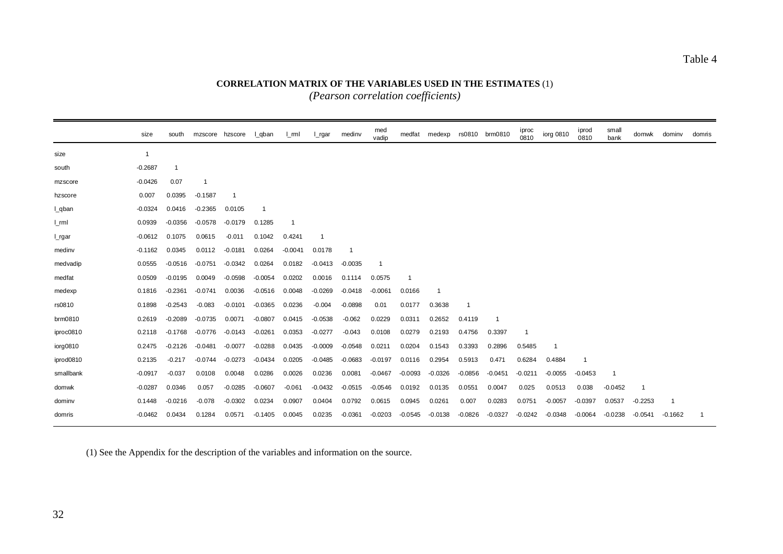# **CORRELATION MATRIX OF THE VARIABLES USED IN THE ESTIMATES** (1)

*(Pearson correlation coefficients)* 

|           | size           | south     | mzscore   | hzscore   | I qban    | l ml      | $L_{\text{rgar}}$ | medinv    | med<br>vadip | medfat    | medexp         | rs0810    | brm0810   | iproc<br>0810           | iorg 0810 | iprod<br>0810 | small<br>bank | domwk        | dominy    | domris |
|-----------|----------------|-----------|-----------|-----------|-----------|-----------|-------------------|-----------|--------------|-----------|----------------|-----------|-----------|-------------------------|-----------|---------------|---------------|--------------|-----------|--------|
| size      | $\overline{1}$ |           |           |           |           |           |                   |           |              |           |                |           |           |                         |           |               |               |              |           |        |
| south     | $-0.2687$      | 1         |           |           |           |           |                   |           |              |           |                |           |           |                         |           |               |               |              |           |        |
| mzscore   | $-0.0426$      | 0.07      |           |           |           |           |                   |           |              |           |                |           |           |                         |           |               |               |              |           |        |
| hzscore   | 0.007          | 0.0395    | $-0.1587$ | -1        |           |           |                   |           |              |           |                |           |           |                         |           |               |               |              |           |        |
| l_qban    | $-0.0324$      | 0.0416    | $-0.2365$ | 0.0105    |           |           |                   |           |              |           |                |           |           |                         |           |               |               |              |           |        |
| $L$ rml   | 0.0939         | $-0.0356$ | $-0.0578$ | $-0.0179$ | 0.1285    |           |                   |           |              |           |                |           |           |                         |           |               |               |              |           |        |
| l_rgar    | $-0.0612$      | 0.1075    | 0.0615    | $-0.011$  | 0.1042    | 0.4241    | 1                 |           |              |           |                |           |           |                         |           |               |               |              |           |        |
| medinv    | $-0.1162$      | 0.0345    | 0.0112    | $-0.0181$ | 0.0264    | $-0.0041$ | 0.0178            | - 1       |              |           |                |           |           |                         |           |               |               |              |           |        |
| medvadip  | 0.0555         | $-0.0516$ | $-0.0751$ | $-0.0342$ | 0.0264    | 0.0182    | $-0.0413$         | $-0.0035$ | -1           |           |                |           |           |                         |           |               |               |              |           |        |
| medfat    | 0.0509         | $-0.0195$ | 0.0049    | $-0.0598$ | $-0.0054$ | 0.0202    | 0.0016            | 0.1114    | 0.0575       | -1        |                |           |           |                         |           |               |               |              |           |        |
| medexp    | 0.1816         | $-0.2361$ | $-0.0741$ | 0.0036    | $-0.0516$ | 0.0048    | $-0.0269$         | $-0.0418$ | $-0.0061$    | 0.0166    | $\overline{1}$ |           |           |                         |           |               |               |              |           |        |
| rs0810    | 0.1898         | $-0.2543$ | $-0.083$  | $-0.0101$ | $-0.0365$ | 0.0236    | $-0.004$          | $-0.0898$ | 0.01         | 0.0177    | 0.3638         |           |           |                         |           |               |               |              |           |        |
| brm0810   | 0.2619         | $-0.2089$ | $-0.0735$ | 0.0071    | $-0.0807$ | 0.0415    | $-0.0538$         | $-0.062$  | 0.0229       | 0.0311    | 0.2652         | 0.4119    |           |                         |           |               |               |              |           |        |
| iproc0810 | 0.2118         | $-0.1768$ | $-0.0776$ | $-0.0143$ | $-0.0261$ | 0.0353    | $-0.0277$         | $-0.043$  | 0.0108       | 0.0279    | 0.2193         | 0.4756    | 0.3397    | $\overline{\mathbf{1}}$ |           |               |               |              |           |        |
| iorg0810  | 0.2475         | $-0.2126$ | $-0.0481$ | $-0.0077$ | $-0.0288$ | 0.0435    | $-0.0009$         | $-0.0548$ | 0.0211       | 0.0204    | 0.1543         | 0.3393    | 0.2896    | 0.5485                  | -1        |               |               |              |           |        |
| iprod0810 | 0.2135         | $-0.217$  | $-0.0744$ | $-0.0273$ | $-0.0434$ | 0.0205    | $-0.0485$         | $-0.0683$ | $-0.0197$    | 0.0116    | 0.2954         | 0.5913    | 0.471     | 0.6284                  | 0.4884    | -1            |               |              |           |        |
| smallbank | $-0.0917$      | $-0.037$  | 0.0108    | 0.0048    | 0.0286    | 0.0026    | 0.0236            | 0.0081    | $-0.0467$    | $-0.0093$ | $-0.0326$      | $-0.0856$ | $-0.0451$ | $-0.0211$               | $-0.0055$ | $-0.0453$     |               |              |           |        |
| domwk     | $-0.0287$      | 0.0346    | 0.057     | $-0.0285$ | $-0.0607$ | $-0.061$  | $-0.0432$         | $-0.0515$ | $-0.0546$    | 0.0192    | 0.0135         | 0.0551    | 0.0047    | 0.025                   | 0.0513    | 0.038         | $-0.0452$     | $\mathbf{1}$ |           |        |
| dominv    | 0.1448         | $-0.0216$ | $-0.078$  | $-0.0302$ | 0.0234    | 0.0907    | 0.0404            | 0.0792    | 0.0615       | 0.0945    | 0.0261         | 0.007     | 0.0283    | 0.0751                  | $-0.0057$ | $-0.0397$     | 0.0537        | $-0.2253$    |           |        |
| domris    | $-0.0462$      | 0.0434    | 0.1284    | 0.0571    | $-0.1405$ | 0.0045    | 0.0235            | $-0.0361$ | $-0.0203$    | $-0.0545$ | $-0.0138$      | $-0.0826$ | $-0.0327$ | $-0.0242$               | $-0.0348$ | $-0.0064$     | $-0.0238$     | $-0.0541$    | $-0.1662$ |        |

(1) See the Appendix for the description of the variables and information on the source.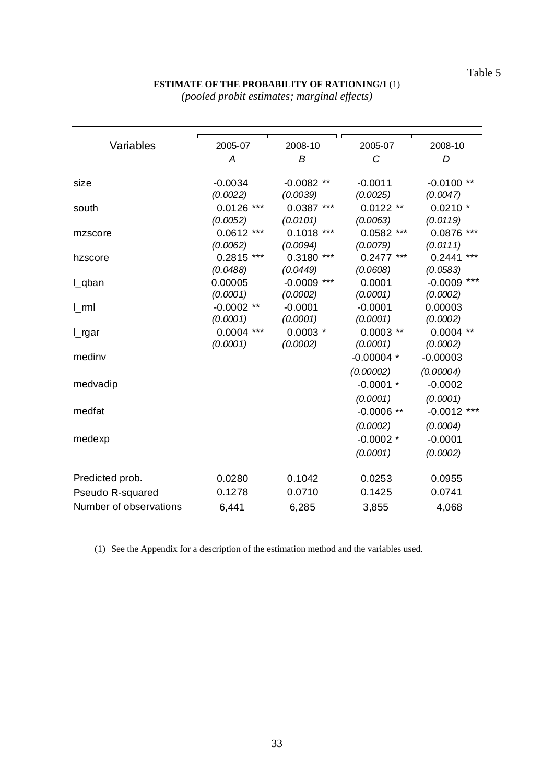# **ESTIMATE OF THE PROBABILITY OF RATIONING/1** (1)

*(pooled probit estimates; marginal effects)* 

| Variables              | 2005-07      | 2008-10       | 2005-07      | 2008-10            |
|------------------------|--------------|---------------|--------------|--------------------|
|                        | Α            | B             | C            | D                  |
|                        |              |               |              |                    |
| size                   | $-0.0034$    | $-0.0082$ **  | $-0.0011$    | $***$<br>$-0.0100$ |
|                        | (0.0022)     | (0.0039)      | (0.0025)     | (0.0047)           |
| south                  | $0.0126$ *** | $0.0387$ ***  | $0.0122**$   | $0.0210*$          |
|                        | (0.0052)     | (0.0101)      | (0.0063)     | (0.0119)           |
| mzscore                | $0.0612$ *** | $0.1018$ ***  | $0.0582$ *** | 0.0876 ***         |
|                        | (0.0062)     | (0.0094)      | (0.0079)     | (0.0111)           |
| hzscore                | $0.2815$ *** | 0.3180<br>*** | $0.2477$ *** | $***$<br>0.2441    |
|                        | (0.0488)     | (0.0449)      | (0.0608)     | (0.0583)           |
| l_qban                 | 0.00005      | $-0.0009$ *** | 0.0001       | $***$<br>$-0.0009$ |
|                        | (0.0001)     | (0.0002)      | (0.0001)     | (0.0002)           |
| $L$ ml                 | $-0.0002$ ** | $-0.0001$     | $-0.0001$    | 0.00003            |
|                        | (0.0001)     | (0.0001)      | (0.0001)     | (0.0002)           |
| l_rgar                 | $0.0004$ *** | $0.0003$ *    | $0.0003$ **  | $0.0004$ **        |
|                        | (0.0001)     | (0.0002)      | (0.0001)     | (0.0002)           |
| medinv                 |              |               | $-0.00004*$  | $-0.00003$         |
|                        |              |               | (0.00002)    | (0.00004)          |
| medvadip               |              |               | $-0.0001$ *  | $-0.0002$          |
|                        |              |               | (0.0001)     | (0.0001)           |
| medfat                 |              |               | $-0.0006**$  | $-0.0012$ ***      |
|                        |              |               | (0.0002)     | (0.0004)           |
| medexp                 |              |               | $-0.0002*$   | $-0.0001$          |
|                        |              |               | (0.0001)     | (0.0002)           |
| Predicted prob.        | 0.0280       | 0.1042        | 0.0253       | 0.0955             |
| Pseudo R-squared       | 0.1278       | 0.0710        | 0.1425       | 0.0741             |
| Number of observations |              |               |              |                    |
|                        | 6,441        | 6,285         | 3,855        | 4,068              |

(1) See the Appendix for a description of the estimation method and the variables used.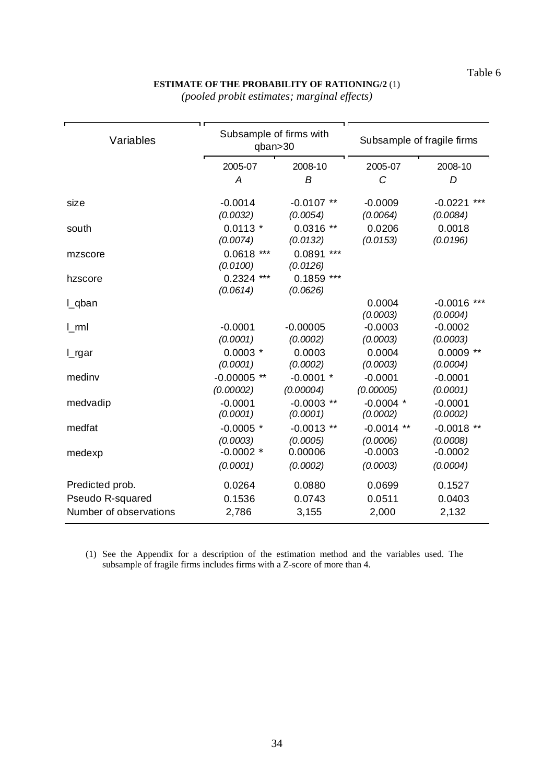## **ESTIMATE OF THE PROBABILITY OF RATIONING/2** (1)

| (pooled probit estimates; marginal effects) |  |  |  |  |  |  |
|---------------------------------------------|--|--|--|--|--|--|
|---------------------------------------------|--|--|--|--|--|--|

| ז ו<br>Variables       | Subsample of firms with<br>qban>30 | ת ד                         | Subsample of fragile firms |                              |  |
|------------------------|------------------------------------|-----------------------------|----------------------------|------------------------------|--|
|                        | 2005-07                            | 2008-10                     | 2005-07                    | 2008-10                      |  |
|                        | A                                  | B                           | C                          | D                            |  |
| size                   | $-0.0014$<br>(0.0032)              | $-0.0107$ **<br>(0.0054)    | $-0.0009$<br>(0.0064)      | $-0.0221$<br>***<br>(0.0084) |  |
| south                  | $0.0113*$                          | $0.0316**$                  | 0.0206                     | 0.0018                       |  |
|                        | (0.0074)                           | (0.0132)                    | (0.0153)                   | (0.0196)                     |  |
| mzscore                | $0.0618$ ***<br>(0.0100)           | $***$<br>0.0891<br>(0.0126) |                            |                              |  |
| hzscore                | $0.2324$ ***<br>(0.0614)           | $***$<br>0.1859<br>(0.0626) |                            |                              |  |
| L_qban                 |                                    |                             | 0.0004<br>(0.0003)         | $-0.0016$ ***<br>(0.0004)    |  |
| $L$ ml                 | $-0.0001$                          | $-0.00005$                  | $-0.0003$                  | $-0.0002$                    |  |
|                        | (0.0001)                           | (0.0002)                    | (0.0003)                   | (0.0003)                     |  |
| $L$ rgar               | $0.0003*$                          | 0.0003                      | 0.0004                     | $0.0009$ **                  |  |
| medinv                 | (0.0001)                           | (0.0002)                    | (0.0003)                   | (0.0004)                     |  |
|                        | $-0.00005$ **                      | $-0.0001$ *                 | $-0.0001$                  | $-0.0001$                    |  |
|                        | (0.00002)                          | (0.00004)                   | (0.00005)                  | (0.0001)                     |  |
|                        | $-0.0001$                          | $-0.0003$ **                | $-0.0004$ *                | $-0.0001$                    |  |
| medvadip               | (0.0001)                           | (0.0001)                    | (0.0002)                   | (0.0002)                     |  |
| medfat                 | $-0.0005$ *                        | $-0.0013$ **                | $-0.0014$ **               | $-0.0018$ **                 |  |
| medexp                 | (0.0003)                           | (0.0005)                    | (0.0006)                   | (0.0008)                     |  |
|                        | $-0.0002$ *                        | 0.00006                     | $-0.0003$                  | $-0.0002$                    |  |
|                        | (0.0001)                           | (0.0002)                    | (0.0003)                   | (0.0004)                     |  |
| Predicted prob.        | 0.0264                             | 0.0880                      | 0.0699                     | 0.1527                       |  |
| Pseudo R-squared       | 0.1536                             | 0.0743                      | 0.0511                     | 0.0403                       |  |
| Number of observations | 2,786                              | 3,155                       | 2,000                      | 2,132                        |  |

(1) See the Appendix for a description of the estimation method and the variables used. The subsample of fragile firms includes firms with a Z-score of more than 4.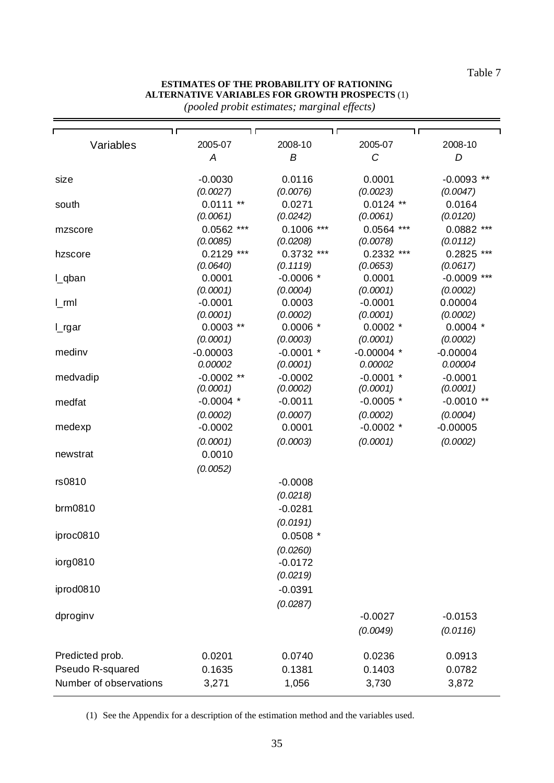Table 7

# **ESTIMATES OF THE PROBABILITY OF RATIONING ALTERNATIVE VARIABLES FOR GROWTH PROSPECTS** (1)

| (pooled probit estimates; marginal effects) |  |
|---------------------------------------------|--|
|---------------------------------------------|--|

| 1 r                    | 1 r                     | 1 r                   |                        |                        |
|------------------------|-------------------------|-----------------------|------------------------|------------------------|
| Variables              | 2005-07                 | 2008-10               | 2005-07                | 2008-10                |
|                        | Α                       | B                     | C                      | D                      |
| size                   | $-0.0030$               | 0.0116                | 0.0001                 | $-0.0093$ **           |
|                        | (0.0027)                | (0.0076)              | (0.0023)               | (0.0047)               |
| south                  | $0.0111**$              | 0.0271                | $0.0124$ **            | 0.0164                 |
|                        | (0.0061)                | (0.0242)              | (0.0061)               | (0.0120)               |
| mzscore                | $0.0562$ ***            | $0.1006$ ***          | $0.0564$ ***           | 0.0882 ***             |
|                        | (0.0085)                | (0.0208)              | (0.0078)               | (0.0112)               |
| hzscore                | $0.2129$ ***            | 0.3732 ***            | 0.2332 ***             | 0.2825 ***             |
|                        | (0.0640)                | (0.1119)              | (0.0653)               | (0.0617)               |
| L_qban                 | 0.0001                  | $-0.0006$ *           | 0.0001                 | $-0.0009$ ***          |
|                        | (0.0001)                | (0.0004)              | (0.0001)               | (0.0002)               |
| $L$ rml                | $-0.0001$               | 0.0003                | $-0.0001$              | 0.00004                |
|                        | (0.0001)<br>$0.0003$ ** | (0.0002)<br>$0.0006*$ | (0.0001)<br>$0.0002$ * | (0.0002)<br>$0.0004$ * |
| L_rgar                 | (0.0001)                | (0.0003)              | (0.0001)               | (0.0002)               |
| medinv                 | $-0.00003$              | $-0.0001$ *           | $-0.00004$ *           | $-0.00004$             |
|                        | 0.00002                 | (0.0001)              | 0.00002                | 0.00004                |
| medvadip               | $-0.0002$ **            | $-0.0002$             | $-0.0001$ *            | $-0.0001$              |
|                        | (0.0001)                | (0.0002)              | (0.0001)               | (0.0001)               |
| medfat                 | $-0.0004$ *             | $-0.0011$             | $-0.0005$ *            | $-0.0010**$            |
|                        | (0.0002)                | (0.0007)              | (0.0002)               | (0.0004)               |
| medexp                 | $-0.0002$               | 0.0001                | $-0.0002$ *            | $-0.00005$             |
|                        | (0.0001)                | (0.0003)              | (0.0001)               | (0.0002)               |
| newstrat               | 0.0010                  |                       |                        |                        |
|                        |                         |                       |                        |                        |
|                        | (0.0052)                |                       |                        |                        |
| rs0810                 |                         | $-0.0008$             |                        |                        |
|                        |                         | (0.0218)              |                        |                        |
| brm0810                |                         | $-0.0281$             |                        |                        |
|                        |                         | (0.0191)              |                        |                        |
| iproc0810              |                         | $0.0508*$             |                        |                        |
|                        |                         | (0.0260)              |                        |                        |
| iorg0810               |                         | $-0.0172$             |                        |                        |
|                        |                         | (0.0219)              |                        |                        |
| iprod0810              |                         | $-0.0391$             |                        |                        |
|                        |                         | (0.0287)              |                        |                        |
| dproginv               |                         |                       | $-0.0027$              | $-0.0153$              |
|                        |                         |                       | (0.0049)               | (0.0116)               |
| Predicted prob.        | 0.0201                  | 0.0740                | 0.0236                 | 0.0913                 |
| Pseudo R-squared       | 0.1635                  | 0.1381                | 0.1403                 | 0.0782                 |
|                        |                         |                       |                        |                        |
| Number of observations | 3,271                   | 1,056                 | 3,730                  | 3,872                  |

(1) See the Appendix for a description of the estimation method and the variables used.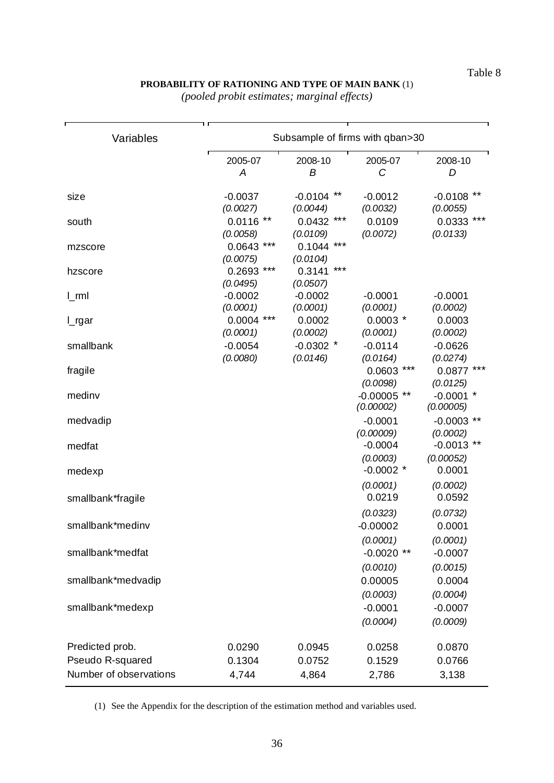# **PROBABILITY OF RATIONING AND TYPE OF MAIN BANK** (1)

*(pooled probit estimates; marginal effects)* 

| Variables              | Subsample of firms with qban>30 |                              |                        |                                 |  |  |  |
|------------------------|---------------------------------|------------------------------|------------------------|---------------------------------|--|--|--|
|                        |                                 |                              |                        |                                 |  |  |  |
|                        | 2005-07                         | 2008-10<br>B                 | 2005-07                | 2008-10                         |  |  |  |
|                        | Α                               |                              | C                      | D                               |  |  |  |
| size                   | $-0.0037$                       | $^{\star\star}$<br>$-0.0104$ | $-0.0012$              | **<br>$-0.0108$                 |  |  |  |
|                        | (0.0027)                        | (0.0044)                     | (0.0032)               | (0.0055)                        |  |  |  |
| south                  | $***$<br>0.0116                 | ***<br>0.0432                | 0.0109                 | ***<br>0.0333                   |  |  |  |
|                        | (0.0058)<br>***<br>0.0643       | (0.0109)<br>***<br>0.1044    | (0.0072)               | (0.0133)                        |  |  |  |
| mzscore                | (0.0075)                        | (0.0104)                     |                        |                                 |  |  |  |
| hzscore                | ***<br>0.2693                   | ***<br>0.3141                |                        |                                 |  |  |  |
|                        | (0.0495)                        | (0.0507)                     |                        |                                 |  |  |  |
| $L$ ml                 | $-0.0002$                       | $-0.0002$                    | $-0.0001$              | $-0.0001$                       |  |  |  |
|                        | (0.0001)<br>$***$               | (0.0001)                     | (0.0001)               | (0.0002)                        |  |  |  |
| L_rgar                 | 0.0004<br>(0.0001)              | 0.0002<br>(0.0002)           | $0.0003*$<br>(0.0001)  | 0.0003<br>(0.0002)              |  |  |  |
| smallbank              | $-0.0054$                       | $-0.0302$ *                  | $-0.0114$              | $-0.0626$                       |  |  |  |
|                        | (0.0080)                        | (0.0146)                     | (0.0164)               | (0.0274)                        |  |  |  |
| fragile                |                                 |                              | ***<br>0.0603          | 0.0877                          |  |  |  |
|                        |                                 |                              | (0.0098)               | (0.0125)                        |  |  |  |
| medinv                 |                                 |                              | $-0.00005$ **          | $-0.0001$ *                     |  |  |  |
|                        |                                 |                              | (0.00002)<br>$-0.0001$ | (0.00005)<br>$-0.0003$<br>$***$ |  |  |  |
| medvadip               |                                 |                              | (0.00009)              | (0.0002)                        |  |  |  |
| medfat                 |                                 |                              | $-0.0004$              | $***$<br>$-0.0013$              |  |  |  |
|                        |                                 |                              | (0.0003)               | (0.00052)                       |  |  |  |
| medexp                 |                                 |                              | $-0.0002$ *            | 0.0001                          |  |  |  |
|                        |                                 |                              | (0.0001)               | (0.0002)                        |  |  |  |
| smallbank*fragile      |                                 |                              | 0.0219                 | 0.0592                          |  |  |  |
|                        |                                 |                              | (0.0323)               | (0.0732)                        |  |  |  |
| smallbank*medinv       |                                 |                              | $-0.00002$             | 0.0001                          |  |  |  |
|                        |                                 |                              | (0.0001)               | (0.0001)                        |  |  |  |
| smallbank*medfat       |                                 |                              | $-0.0020$ **           | $-0.0007$                       |  |  |  |
|                        |                                 |                              | (0.0010)               | (0.0015)                        |  |  |  |
| smallbank*medvadip     |                                 |                              | 0.00005                | 0.0004                          |  |  |  |
| smallbank*medexp       |                                 |                              | (0.0003)<br>$-0.0001$  | (0.0004)<br>$-0.0007$           |  |  |  |
|                        |                                 |                              | (0.0004)               | (0.0009)                        |  |  |  |
|                        |                                 |                              |                        |                                 |  |  |  |
| Predicted prob.        | 0.0290                          | 0.0945                       | 0.0258                 | 0.0870                          |  |  |  |
| Pseudo R-squared       | 0.1304                          | 0.0752                       | 0.1529                 | 0.0766                          |  |  |  |
| Number of observations | 4,744                           | 4,864                        | 2,786                  | 3,138                           |  |  |  |

(1) See the Appendix for the description of the estimation method and variables used.